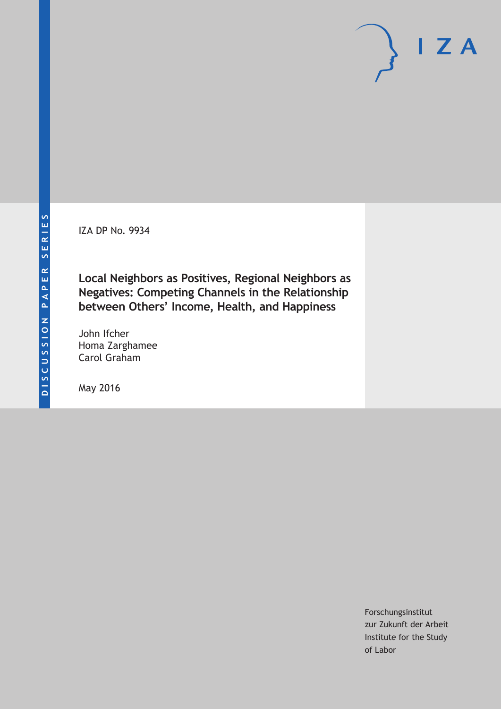IZA DP No. 9934

**Local Neighbors as Positives, Regional Neighbors as Negatives: Competing Channels in the Relationship between Others' Income, Health, and Happiness**

John Ifcher Homa Zarghamee Carol Graham

May 2016

Forschungsinstitut zur Zukunft der Arbeit Institute for the Study of Labor

 $I Z A$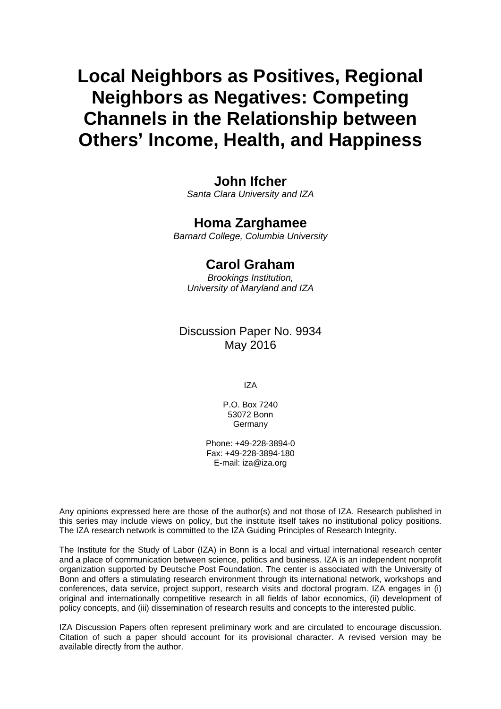# **Local Neighbors as Positives, Regional Neighbors as Negatives: Competing Channels in the Relationship between Others' Income, Health, and Happiness**

## **John Ifcher**

*Santa Clara University and IZA* 

### **Homa Zarghamee**

*Barnard College, Columbia University* 

## **Carol Graham**

*Brookings Institution, University of Maryland and IZA*

### Discussion Paper No. 9934 May 2016

IZA

P.O. Box 7240 53072 Bonn Germany

Phone: +49-228-3894-0 Fax: +49-228-3894-180 E-mail: iza@iza.org

Any opinions expressed here are those of the author(s) and not those of IZA. Research published in this series may include views on policy, but the institute itself takes no institutional policy positions. The IZA research network is committed to the IZA Guiding Principles of Research Integrity.

The Institute for the Study of Labor (IZA) in Bonn is a local and virtual international research center and a place of communication between science, politics and business. IZA is an independent nonprofit organization supported by Deutsche Post Foundation. The center is associated with the University of Bonn and offers a stimulating research environment through its international network, workshops and conferences, data service, project support, research visits and doctoral program. IZA engages in (i) original and internationally competitive research in all fields of labor economics, (ii) development of policy concepts, and (iii) dissemination of research results and concepts to the interested public.

IZA Discussion Papers often represent preliminary work and are circulated to encourage discussion. Citation of such a paper should account for its provisional character. A revised version may be available directly from the author.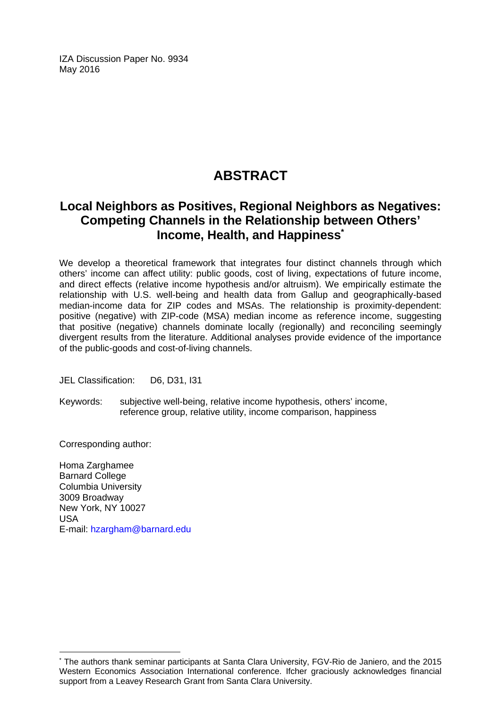IZA Discussion Paper No. 9934 May 2016

## **ABSTRACT**

## **Local Neighbors as Positives, Regional Neighbors as Negatives: Competing Channels in the Relationship between Others' Income, Health, and Happiness\***

We develop a theoretical framework that integrates four distinct channels through which others' income can affect utility: public goods, cost of living, expectations of future income, and direct effects (relative income hypothesis and/or altruism). We empirically estimate the relationship with U.S. well-being and health data from Gallup and geographically-based median-income data for ZIP codes and MSAs. The relationship is proximity-dependent: positive (negative) with ZIP-code (MSA) median income as reference income, suggesting that positive (negative) channels dominate locally (regionally) and reconciling seemingly divergent results from the literature. Additional analyses provide evidence of the importance of the public-goods and cost-of-living channels.

JEL Classification: D6, D31, I31

Keywords: subjective well-being, relative income hypothesis, others' income, reference group, relative utility, income comparison, happiness

Corresponding author:

 $\overline{\phantom{a}}$ 

Homa Zarghamee Barnard College Columbia University 3009 Broadway New York, NY 10027 USA E-mail: hzargham@barnard.edu

<sup>\*</sup> The authors thank seminar participants at Santa Clara University, FGV-Rio de Janiero, and the 2015 Western Economics Association International conference. Ifcher graciously acknowledges financial support from a Leavey Research Grant from Santa Clara University.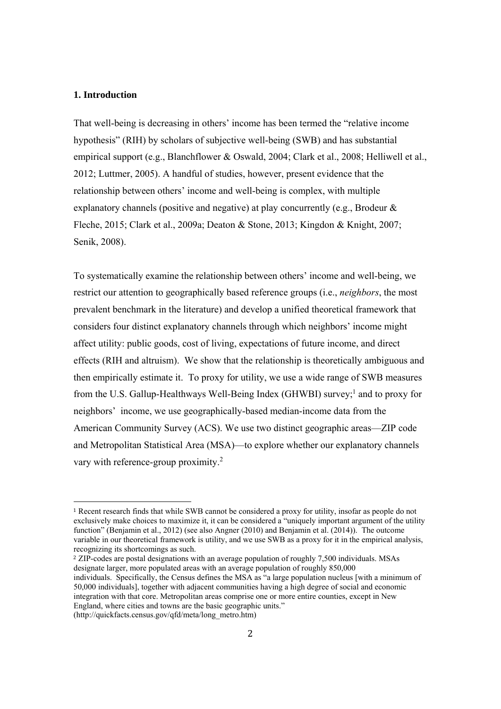#### **1. Introduction**

 

That well-being is decreasing in others' income has been termed the "relative income hypothesis" (RIH) by scholars of subjective well-being (SWB) and has substantial empirical support (e.g., Blanchflower & Oswald, 2004; Clark et al., 2008; Helliwell et al., 2012; Luttmer, 2005). A handful of studies, however, present evidence that the relationship between others' income and well-being is complex, with multiple explanatory channels (positive and negative) at play concurrently (e.g., Brodeur & Fleche, 2015; Clark et al., 2009a; Deaton & Stone, 2013; Kingdon & Knight, 2007; Senik, 2008).

To systematically examine the relationship between others' income and well-being, we restrict our attention to geographically based reference groups (i.e., *neighbors*, the most prevalent benchmark in the literature) and develop a unified theoretical framework that considers four distinct explanatory channels through which neighbors' income might affect utility: public goods, cost of living, expectations of future income, and direct effects (RIH and altruism). We show that the relationship is theoretically ambiguous and then empirically estimate it. To proxy for utility, we use a wide range of SWB measures from the U.S. Gallup-Healthways Well-Being Index (GHWBI) survey;<sup>1</sup> and to proxy for neighbors' income, we use geographically-based median-income data from the American Community Survey (ACS). We use two distinct geographic areas—ZIP code and Metropolitan Statistical Area (MSA)—to explore whether our explanatory channels vary with reference-group proximity.<sup>2</sup>

<sup>2</sup> ZIP-codes are postal designations with an average population of roughly 7,500 individuals. MSAs designate larger, more populated areas with an average population of roughly 850,000 individuals. Specifically, the Census defines the MSA as "a large population nucleus [with a minimum of 50,000 individuals], together with adjacent communities having a high degree of social and economic integration with that core. Metropolitan areas comprise one or more entire counties, except in New England, where cities and towns are the basic geographic units." (http://quickfacts.census.gov/qfd/meta/long\_metro.htm)

<sup>1</sup> Recent research finds that while SWB cannot be considered a proxy for utility, insofar as people do not exclusively make choices to maximize it, it can be considered a "uniquely important argument of the utility function" (Benjamin et al., 2012) (see also Angner (2010) and Benjamin et al. (2014)). The outcome variable in our theoretical framework is utility, and we use SWB as a proxy for it in the empirical analysis, recognizing its shortcomings as such.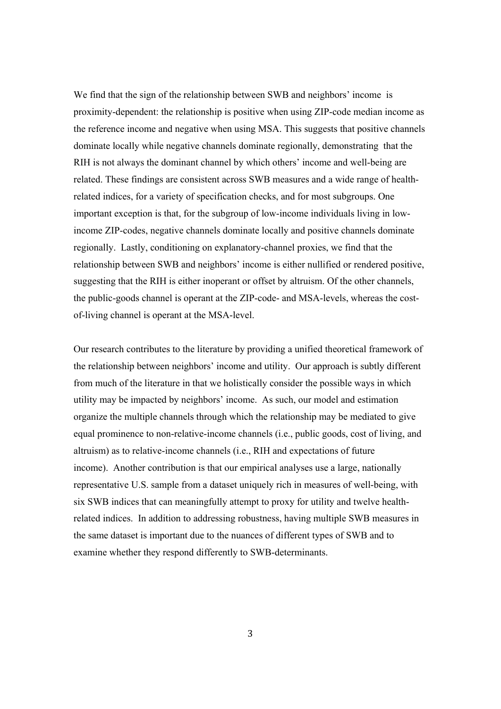We find that the sign of the relationship between SWB and neighbors' income is proximity-dependent: the relationship is positive when using ZIP-code median income as the reference income and negative when using MSA. This suggests that positive channels dominate locally while negative channels dominate regionally, demonstrating that the RIH is not always the dominant channel by which others' income and well-being are related. These findings are consistent across SWB measures and a wide range of healthrelated indices, for a variety of specification checks, and for most subgroups. One important exception is that, for the subgroup of low-income individuals living in lowincome ZIP-codes, negative channels dominate locally and positive channels dominate regionally. Lastly, conditioning on explanatory-channel proxies, we find that the relationship between SWB and neighbors' income is either nullified or rendered positive, suggesting that the RIH is either inoperant or offset by altruism. Of the other channels, the public-goods channel is operant at the ZIP-code- and MSA-levels, whereas the costof-living channel is operant at the MSA-level.

Our research contributes to the literature by providing a unified theoretical framework of the relationship between neighbors' income and utility. Our approach is subtly different from much of the literature in that we holistically consider the possible ways in which utility may be impacted by neighbors' income. As such, our model and estimation organize the multiple channels through which the relationship may be mediated to give equal prominence to non-relative-income channels (i.e., public goods, cost of living, and altruism) as to relative-income channels (i.e., RIH and expectations of future income). Another contribution is that our empirical analyses use a large, nationally representative U.S. sample from a dataset uniquely rich in measures of well-being, with six SWB indices that can meaningfully attempt to proxy for utility and twelve healthrelated indices. In addition to addressing robustness, having multiple SWB measures in the same dataset is important due to the nuances of different types of SWB and to examine whether they respond differently to SWB-determinants.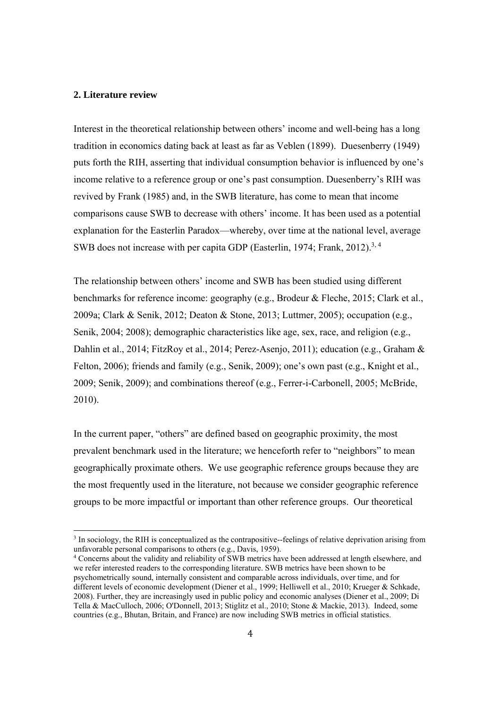#### **2. Literature review**

 

Interest in the theoretical relationship between others' income and well-being has a long tradition in economics dating back at least as far as Veblen (1899). Duesenberry (1949) puts forth the RIH, asserting that individual consumption behavior is influenced by one's income relative to a reference group or one's past consumption. Duesenberry's RIH was revived by Frank (1985) and, in the SWB literature, has come to mean that income comparisons cause SWB to decrease with others' income. It has been used as a potential explanation for the Easterlin Paradox—whereby, over time at the national level, average SWB does not increase with per capita GDP (Easterlin, 1974; Frank, 2012).<sup>3, 4</sup>

The relationship between others' income and SWB has been studied using different benchmarks for reference income: geography (e.g., Brodeur & Fleche, 2015; Clark et al., 2009a; Clark & Senik, 2012; Deaton & Stone, 2013; Luttmer, 2005); occupation (e.g., Senik, 2004; 2008); demographic characteristics like age, sex, race, and religion (e.g., Dahlin et al., 2014; FitzRoy et al., 2014; Perez-Asenjo, 2011); education (e.g., Graham & Felton, 2006); friends and family (e.g., Senik, 2009); one's own past (e.g., Knight et al., 2009; Senik, 2009); and combinations thereof (e.g., Ferrer-i-Carbonell, 2005; McBride, 2010).

In the current paper, "others" are defined based on geographic proximity, the most prevalent benchmark used in the literature; we henceforth refer to "neighbors" to mean geographically proximate others. We use geographic reference groups because they are the most frequently used in the literature, not because we consider geographic reference groups to be more impactful or important than other reference groups. Our theoretical

4 Concerns about the validity and reliability of SWB metrics have been addressed at length elsewhere, and we refer interested readers to the corresponding literature. SWB metrics have been shown to be psychometrically sound, internally consistent and comparable across individuals, over time, and for different levels of economic development (Diener et al., 1999; Helliwell et al., 2010; Krueger & Schkade, 2008). Further, they are increasingly used in public policy and economic analyses (Diener et al., 2009; Di Tella & MacCulloch, 2006; O'Donnell, 2013; Stiglitz et al., 2010; Stone & Mackie, 2013). Indeed, some countries (e.g., Bhutan, Britain, and France) are now including SWB metrics in official statistics.

<sup>&</sup>lt;sup>3</sup> In sociology, the RIH is conceptualized as the contrapositive--feelings of relative deprivation arising from unfavorable personal comparisons to others (e.g., Davis, 1959).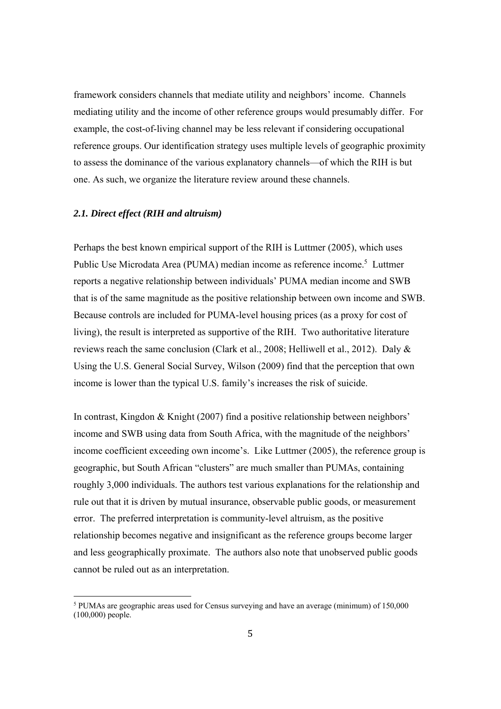framework considers channels that mediate utility and neighbors' income. Channels mediating utility and the income of other reference groups would presumably differ. For example, the cost-of-living channel may be less relevant if considering occupational reference groups. Our identification strategy uses multiple levels of geographic proximity to assess the dominance of the various explanatory channels—of which the RIH is but one. As such, we organize the literature review around these channels.

#### *2.1. Direct effect (RIH and altruism)*

 

Perhaps the best known empirical support of the RIH is Luttmer (2005), which uses Public Use Microdata Area (PUMA) median income as reference income.<sup>5</sup> Luttmer reports a negative relationship between individuals' PUMA median income and SWB that is of the same magnitude as the positive relationship between own income and SWB. Because controls are included for PUMA-level housing prices (as a proxy for cost of living), the result is interpreted as supportive of the RIH. Two authoritative literature reviews reach the same conclusion (Clark et al., 2008; Helliwell et al., 2012). Daly & Using the U.S. General Social Survey, Wilson (2009) find that the perception that own income is lower than the typical U.S. family's increases the risk of suicide.

In contrast, Kingdon & Knight (2007) find a positive relationship between neighbors' income and SWB using data from South Africa, with the magnitude of the neighbors' income coefficient exceeding own income's. Like Luttmer (2005), the reference group is geographic, but South African "clusters" are much smaller than PUMAs, containing roughly 3,000 individuals. The authors test various explanations for the relationship and rule out that it is driven by mutual insurance, observable public goods, or measurement error. The preferred interpretation is community-level altruism, as the positive relationship becomes negative and insignificant as the reference groups become larger and less geographically proximate. The authors also note that unobserved public goods cannot be ruled out as an interpretation.

<sup>&</sup>lt;sup>5</sup> PUMAs are geographic areas used for Census surveying and have an average (minimum) of 150,000 (100,000) people.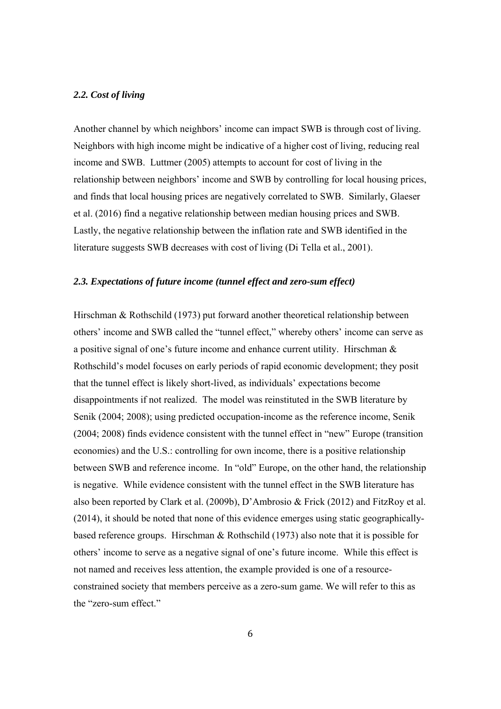#### *2.2. Cost of living*

Another channel by which neighbors' income can impact SWB is through cost of living. Neighbors with high income might be indicative of a higher cost of living, reducing real income and SWB. Luttmer (2005) attempts to account for cost of living in the relationship between neighbors' income and SWB by controlling for local housing prices, and finds that local housing prices are negatively correlated to SWB. Similarly, Glaeser et al. (2016) find a negative relationship between median housing prices and SWB. Lastly, the negative relationship between the inflation rate and SWB identified in the literature suggests SWB decreases with cost of living (Di Tella et al., 2001).

#### *2.3. Expectations of future income (tunnel effect and zero-sum effect)*

Hirschman & Rothschild (1973) put forward another theoretical relationship between others' income and SWB called the "tunnel effect," whereby others' income can serve as a positive signal of one's future income and enhance current utility. Hirschman & Rothschild's model focuses on early periods of rapid economic development; they posit that the tunnel effect is likely short-lived, as individuals' expectations become disappointments if not realized. The model was reinstituted in the SWB literature by Senik (2004; 2008); using predicted occupation-income as the reference income, Senik (2004; 2008) finds evidence consistent with the tunnel effect in "new" Europe (transition economies) and the U.S.: controlling for own income, there is a positive relationship between SWB and reference income. In "old" Europe, on the other hand, the relationship is negative. While evidence consistent with the tunnel effect in the SWB literature has also been reported by Clark et al. (2009b), D'Ambrosio & Frick (2012) and FitzRoy et al. (2014), it should be noted that none of this evidence emerges using static geographicallybased reference groups. Hirschman & Rothschild (1973) also note that it is possible for others' income to serve as a negative signal of one's future income. While this effect is not named and receives less attention, the example provided is one of a resourceconstrained society that members perceive as a zero-sum game. We will refer to this as the "zero-sum effect."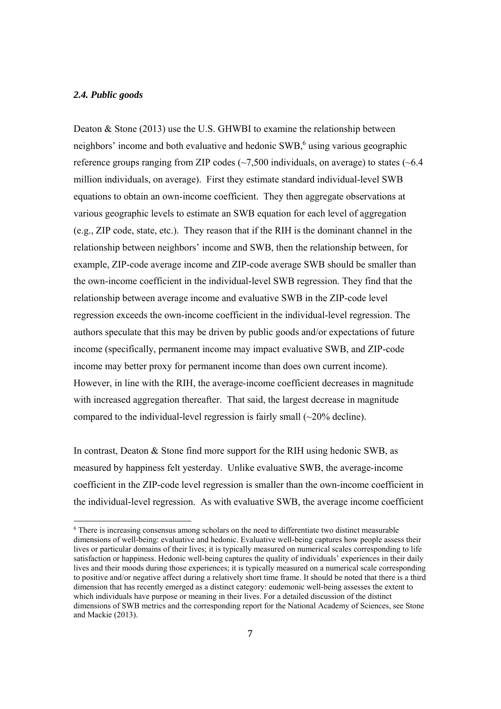#### *2.4. Public goods*

 

Deaton & Stone (2013) use the U.S. GHWBI to examine the relationship between neighbors' income and both evaluative and hedonic SWB,<sup>6</sup> using various geographic reference groups ranging from ZIP codes  $(\sim 7,500)$  individuals, on average) to states ( $\sim 6.4$ ) million individuals, on average). First they estimate standard individual-level SWB equations to obtain an own-income coefficient. They then aggregate observations at various geographic levels to estimate an SWB equation for each level of aggregation (e.g., ZIP code, state, etc.). They reason that if the RIH is the dominant channel in the relationship between neighbors' income and SWB, then the relationship between, for example, ZIP-code average income and ZIP-code average SWB should be smaller than the own-income coefficient in the individual-level SWB regression. They find that the relationship between average income and evaluative SWB in the ZIP-code level regression exceeds the own-income coefficient in the individual-level regression. The authors speculate that this may be driven by public goods and/or expectations of future income (specifically, permanent income may impact evaluative SWB, and ZIP-code income may better proxy for permanent income than does own current income). However, in line with the RIH, the average-income coefficient decreases in magnitude with increased aggregation thereafter. That said, the largest decrease in magnitude compared to the individual-level regression is fairly small  $(\sim 20\%$  decline).

In contrast, Deaton & Stone find more support for the RIH using hedonic SWB, as measured by happiness felt yesterday. Unlike evaluative SWB, the average-income coefficient in the ZIP-code level regression is smaller than the own-income coefficient in the individual-level regression. As with evaluative SWB, the average income coefficient

<sup>&</sup>lt;sup>6</sup> There is increasing consensus among scholars on the need to differentiate two distinct measurable dimensions of well-being: evaluative and hedonic. Evaluative well-being captures how people assess their lives or particular domains of their lives; it is typically measured on numerical scales corresponding to life satisfaction or happiness. Hedonic well-being captures the quality of individuals' experiences in their daily lives and their moods during those experiences; it is typically measured on a numerical scale corresponding to positive and/or negative affect during a relatively short time frame. It should be noted that there is a third dimension that has recently emerged as a distinct category: eudemonic well-being assesses the extent to which individuals have purpose or meaning in their lives. For a detailed discussion of the distinct dimensions of SWB metrics and the corresponding report for the National Academy of Sciences, see Stone and Mackie (2013).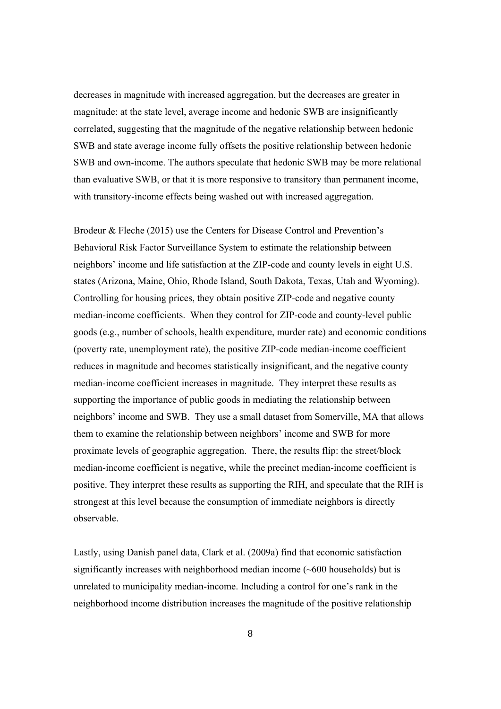decreases in magnitude with increased aggregation, but the decreases are greater in magnitude: at the state level, average income and hedonic SWB are insignificantly correlated, suggesting that the magnitude of the negative relationship between hedonic SWB and state average income fully offsets the positive relationship between hedonic SWB and own-income. The authors speculate that hedonic SWB may be more relational than evaluative SWB, or that it is more responsive to transitory than permanent income, with transitory-income effects being washed out with increased aggregation.

Brodeur & Fleche (2015) use the Centers for Disease Control and Prevention's Behavioral Risk Factor Surveillance System to estimate the relationship between neighbors' income and life satisfaction at the ZIP-code and county levels in eight U.S. states (Arizona, Maine, Ohio, Rhode Island, South Dakota, Texas, Utah and Wyoming). Controlling for housing prices, they obtain positive ZIP-code and negative county median-income coefficients. When they control for ZIP-code and county-level public goods (e.g., number of schools, health expenditure, murder rate) and economic conditions (poverty rate, unemployment rate), the positive ZIP-code median-income coefficient reduces in magnitude and becomes statistically insignificant, and the negative county median-income coefficient increases in magnitude. They interpret these results as supporting the importance of public goods in mediating the relationship between neighbors' income and SWB. They use a small dataset from Somerville, MA that allows them to examine the relationship between neighbors' income and SWB for more proximate levels of geographic aggregation. There, the results flip: the street/block median-income coefficient is negative, while the precinct median-income coefficient is positive. They interpret these results as supporting the RIH, and speculate that the RIH is strongest at this level because the consumption of immediate neighbors is directly observable.

Lastly, using Danish panel data, Clark et al. (2009a) find that economic satisfaction significantly increases with neighborhood median income (~600 households) but is unrelated to municipality median-income. Including a control for one's rank in the neighborhood income distribution increases the magnitude of the positive relationship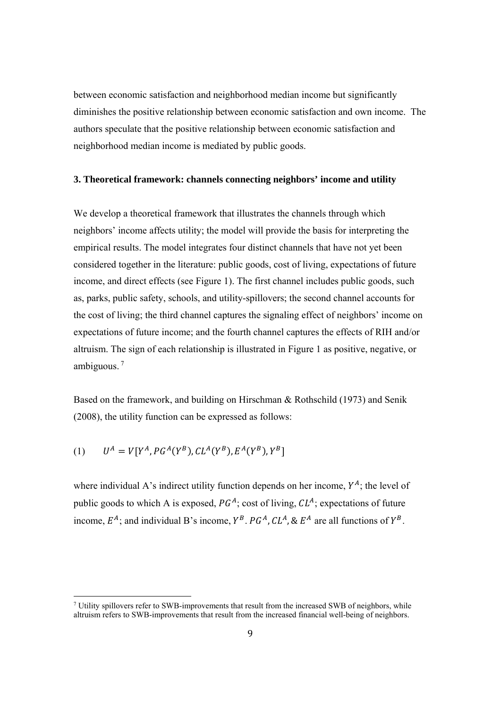between economic satisfaction and neighborhood median income but significantly diminishes the positive relationship between economic satisfaction and own income. The authors speculate that the positive relationship between economic satisfaction and neighborhood median income is mediated by public goods.

#### **3. Theoretical framework: channels connecting neighbors' income and utility**

We develop a theoretical framework that illustrates the channels through which neighbors' income affects utility; the model will provide the basis for interpreting the empirical results. The model integrates four distinct channels that have not yet been considered together in the literature: public goods, cost of living, expectations of future income, and direct effects (see Figure 1). The first channel includes public goods, such as, parks, public safety, schools, and utility-spillovers; the second channel accounts for the cost of living; the third channel captures the signaling effect of neighbors' income on expectations of future income; and the fourth channel captures the effects of RIH and/or altruism. The sign of each relationship is illustrated in Figure 1 as positive, negative, or ambiguous. 7

Based on the framework, and building on Hirschman & Rothschild (1973) and Senik (2008), the utility function can be expressed as follows:

(1) 
$$
U^A = V[Y^A, PG^A(Y^B), CL^A(Y^B), E^A(Y^B), Y^B]
$$

 

where individual A's indirect utility function depends on her income,  $Y<sup>A</sup>$ ; the level of public goods to which A is exposed,  $PG<sup>A</sup>$ ; cost of living,  $CL<sup>A</sup>$ ; expectations of future income,  $E^A$ ; and individual B's income,  $Y^B$ ,  $P G^A$ ,  $CL^A$ , &  $E^A$  are all functions of  $Y^B$ .

<sup>&</sup>lt;sup>7</sup> Utility spillovers refer to SWB-improvements that result from the increased SWB of neighbors, while altruism refers to SWB-improvements that result from the increased financial well-being of neighbors.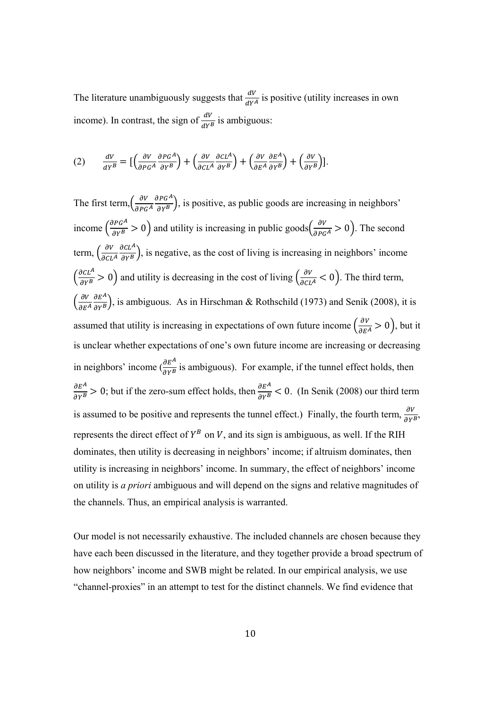The literature unambiguously suggests that  $\frac{dV}{dY}$  is positive (utility increases in own income). In contrast, the sign of  $\frac{dV}{dr^B}$  is ambiguous:

$$
(2) \qquad \frac{dV}{dY^B} = \left[ \left( \frac{\partial V}{\partial PG^A} \frac{\partial PG^A}{\partial Y^B} \right) + \left( \frac{\partial V}{\partial CL^A} \frac{\partial CL^A}{\partial Y^B} \right) + \left( \frac{\partial V}{\partial E^A} \frac{\partial E^A}{\partial Y^B} \right) + \left( \frac{\partial V}{\partial Y^B} \right) \right].
$$

The first term,  $\left(\frac{\partial V}{\partial P G^A}\right)$  $\frac{\partial P G^A}{\partial Y^B}$ , is positive, as public goods are increasing in neighbors' income  $\left(\frac{\partial P G^A}{\partial Y^B} > 0\right)$  and utility is increasing in public goods  $\left(\frac{\partial V}{\partial P G^A} > 0\right)$ . The second term,  $\left(\frac{\partial V}{\partial CL^A}\right)$  $\frac{\partial CL^A}{\partial Y^B}$ , is negative, as the cost of living is increasing in neighbors' income  $\left(\frac{\partial CL^A}{\partial Y^B} > 0\right)$  and utility is decreasing in the cost of living  $\left(\frac{\partial V}{\partial CL^A} < 0\right)$ . The third term,  $\int_{\partial E^A}^{\partial V}$  $\frac{\partial E^A}{\partial Y^B}$ , is ambiguous. As in Hirschman & Rothschild (1973) and Senik (2008), it is assumed that utility is increasing in expectations of own future income  $\left(\frac{\partial v}{\partial E^A} > 0\right)$ , but it is unclear whether expectations of one's own future income are increasing or decreasing in neighbors' income  $\left(\frac{\partial E^A}{\partial Y^B}\right)$  is ambiguous). For example, if the tunnel effect holds, then  $\frac{\partial E^A}{\partial Y^B} > 0$ ; but if the zero-sum effect holds, then  $\frac{\partial E^A}{\partial Y^B} < 0$ . (In Senik (2008) our third term is assumed to be positive and represents the tunnel effect.) Finally, the fourth term,  $\frac{\partial V}{\partial Y B}$ , represents the direct effect of  $Y^B$  on V, and its sign is ambiguous, as well. If the RIH dominates, then utility is decreasing in neighbors' income; if altruism dominates, then utility is increasing in neighbors' income. In summary, the effect of neighbors' income on utility is *a priori* ambiguous and will depend on the signs and relative magnitudes of the channels. Thus, an empirical analysis is warranted.

Our model is not necessarily exhaustive. The included channels are chosen because they have each been discussed in the literature, and they together provide a broad spectrum of how neighbors' income and SWB might be related. In our empirical analysis, we use "channel-proxies" in an attempt to test for the distinct channels. We find evidence that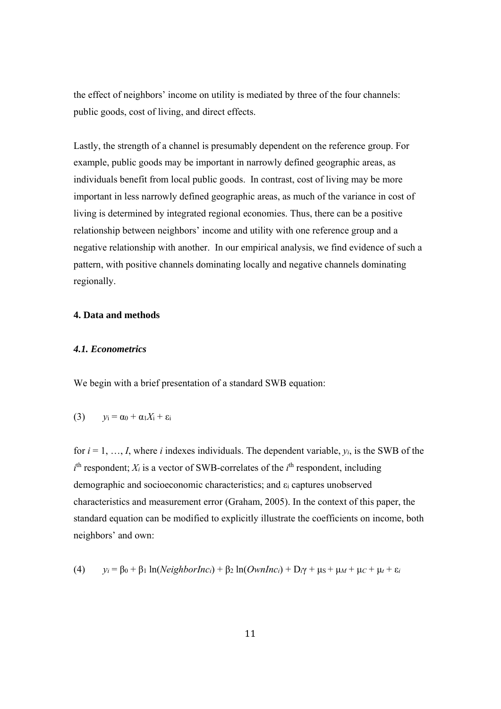the effect of neighbors' income on utility is mediated by three of the four channels: public goods, cost of living, and direct effects.

Lastly, the strength of a channel is presumably dependent on the reference group. For example, public goods may be important in narrowly defined geographic areas, as individuals benefit from local public goods. In contrast, cost of living may be more important in less narrowly defined geographic areas, as much of the variance in cost of living is determined by integrated regional economies. Thus, there can be a positive relationship between neighbors' income and utility with one reference group and a negative relationship with another. In our empirical analysis, we find evidence of such a pattern, with positive channels dominating locally and negative channels dominating regionally.

#### **4. Data and methods**

#### *4.1. Econometrics*

We begin with a brief presentation of a standard SWB equation:

$$
(3) \qquad y_i = \alpha_0 + \alpha_1 X_i + \varepsilon_i
$$

for  $i = 1, \ldots, I$ , where *i* indexes individuals. The dependent variable,  $y_i$ , is the SWB of the  $i<sup>th</sup>$  respondent; *X<sub>i</sub>* is a vector of SWB-correlates of the  $i<sup>th</sup>$  respondent, including demographic and socioeconomic characteristics; and εi captures unobserved characteristics and measurement error (Graham, 2005). In the context of this paper, the standard equation can be modified to explicitly illustrate the coefficients on income, both neighbors' and own:

(4) 
$$
y_i = \beta_0 + \beta_1 \ln(N \text{eighbour} \cdot \text{ln}(0 \text{wnl} \cdot \text{ln}(0 \text{wnl} \cdot \text{ln}(0)) + D_i \gamma + \mu_s + \mu_t + \mu_c + \mu_t + \varepsilon_i
$$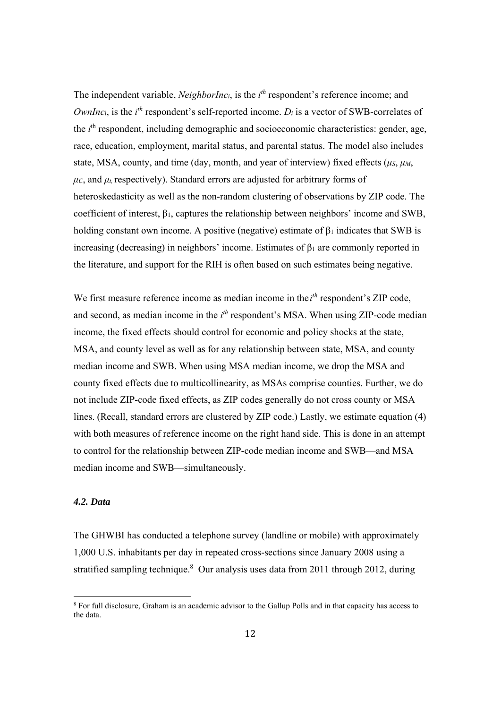The independent variable, *NeighborInc<sub>i*</sub>, is the  $i<sup>th</sup>$  respondent's reference income; and *OwnInc*<sub>i</sub>, is the  $i<sup>th</sup>$  respondent's self-reported income.  $D<sub>i</sub>$  is a vector of SWB-correlates of the *i*<sup>th</sup> respondent, including demographic and socioeconomic characteristics: gender, age, race, education, employment, marital status, and parental status. The model also includes state, MSA, county, and time (day, month, and year of interview) fixed effects ( $\mu$ *S*,  $\mu$ *M*,  $\mu$ *c*, and  $\mu$ *t*, respectively). Standard errors are adjusted for arbitrary forms of heteroskedasticity as well as the non-random clustering of observations by ZIP code. The coefficient of interest, β1, captures the relationship between neighbors' income and SWB, holding constant own income. A positive (negative) estimate of  $\beta_1$  indicates that SWB is increasing (decreasing) in neighbors' income. Estimates of  $\beta_1$  are commonly reported in the literature, and support for the RIH is often based on such estimates being negative.

We first measure reference income as median income in the *i*<sup>th</sup> respondent's ZIP code, and second, as median income in the *i*<sup>th</sup> respondent's MSA. When using ZIP-code median income, the fixed effects should control for economic and policy shocks at the state, MSA, and county level as well as for any relationship between state, MSA, and county median income and SWB. When using MSA median income, we drop the MSA and county fixed effects due to multicollinearity, as MSAs comprise counties. Further, we do not include ZIP-code fixed effects, as ZIP codes generally do not cross county or MSA lines. (Recall, standard errors are clustered by ZIP code.) Lastly, we estimate equation (4) with both measures of reference income on the right hand side. This is done in an attempt to control for the relationship between ZIP-code median income and SWB—and MSA median income and SWB—simultaneously.

#### *4.2. Data*

 

The GHWBI has conducted a telephone survey (landline or mobile) with approximately 1,000 U.S. inhabitants per day in repeated cross-sections since January 2008 using a stratified sampling technique. $8$  Our analysis uses data from 2011 through 2012, during

<sup>&</sup>lt;sup>8</sup> For full disclosure, Graham is an academic advisor to the Gallup Polls and in that capacity has access to the data.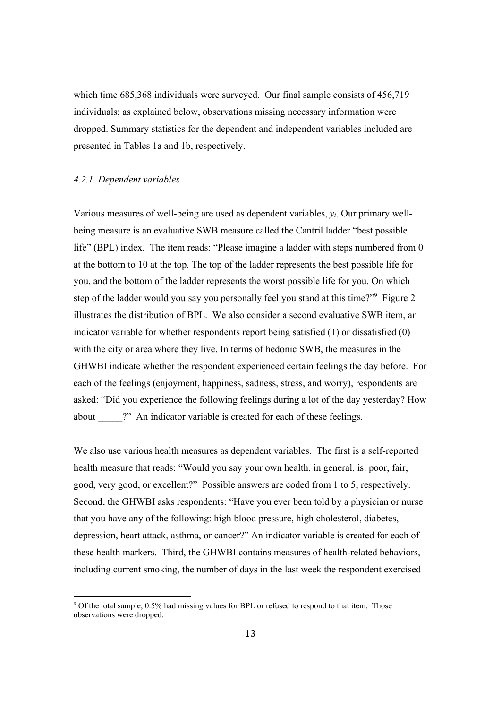which time 685,368 individuals were surveyed. Our final sample consists of 456,719 individuals; as explained below, observations missing necessary information were dropped. Summary statistics for the dependent and independent variables included are presented in Tables 1a and 1b, respectively.

#### *4.2.1. Dependent variables*

 

Various measures of well-being are used as dependent variables, *yi*. Our primary wellbeing measure is an evaluative SWB measure called the Cantril ladder "best possible life" (BPL) index. The item reads: "Please imagine a ladder with steps numbered from 0 at the bottom to 10 at the top. The top of the ladder represents the best possible life for you, and the bottom of the ladder represents the worst possible life for you. On which step of the ladder would you say you personally feel you stand at this time?"<sup>9</sup> Figure 2 illustrates the distribution of BPL. We also consider a second evaluative SWB item, an indicator variable for whether respondents report being satisfied (1) or dissatisfied (0) with the city or area where they live. In terms of hedonic SWB, the measures in the GHWBI indicate whether the respondent experienced certain feelings the day before. For each of the feelings (enjoyment, happiness, sadness, stress, and worry), respondents are asked: "Did you experience the following feelings during a lot of the day yesterday? How about <sup>2</sup>. An indicator variable is created for each of these feelings.

We also use various health measures as dependent variables. The first is a self-reported health measure that reads: "Would you say your own health, in general, is: poor, fair, good, very good, or excellent?" Possible answers are coded from 1 to 5, respectively. Second, the GHWBI asks respondents: "Have you ever been told by a physician or nurse that you have any of the following: high blood pressure, high cholesterol, diabetes, depression, heart attack, asthma, or cancer?" An indicator variable is created for each of these health markers. Third, the GHWBI contains measures of health-related behaviors, including current smoking, the number of days in the last week the respondent exercised

<sup>&</sup>lt;sup>9</sup> Of the total sample, 0.5% had missing values for BPL or refused to respond to that item. Those observations were dropped.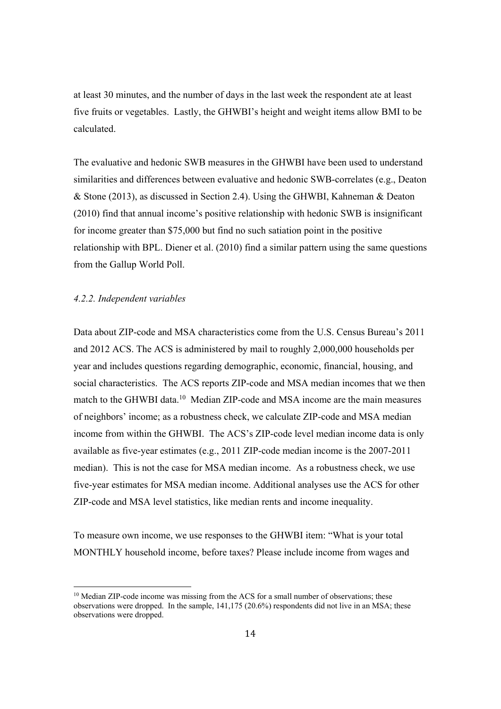at least 30 minutes, and the number of days in the last week the respondent ate at least five fruits or vegetables. Lastly, the GHWBI's height and weight items allow BMI to be calculated.

The evaluative and hedonic SWB measures in the GHWBI have been used to understand similarities and differences between evaluative and hedonic SWB-correlates (e.g., Deaton & Stone (2013), as discussed in Section 2.4). Using the GHWBI, Kahneman & Deaton (2010) find that annual income's positive relationship with hedonic SWB is insignificant for income greater than \$75,000 but find no such satiation point in the positive relationship with BPL. Diener et al. (2010) find a similar pattern using the same questions from the Gallup World Poll.

#### *4.2.2. Independent variables*

 

Data about ZIP-code and MSA characteristics come from the U.S. Census Bureau's 2011 and 2012 ACS. The ACS is administered by mail to roughly 2,000,000 households per year and includes questions regarding demographic, economic, financial, housing, and social characteristics. The ACS reports ZIP-code and MSA median incomes that we then match to the GHWBI data.<sup>10</sup> Median ZIP-code and MSA income are the main measures of neighbors' income; as a robustness check, we calculate ZIP-code and MSA median income from within the GHWBI. The ACS's ZIP-code level median income data is only available as five-year estimates (e.g., 2011 ZIP-code median income is the 2007-2011 median). This is not the case for MSA median income. As a robustness check, we use five-year estimates for MSA median income. Additional analyses use the ACS for other ZIP-code and MSA level statistics, like median rents and income inequality.

To measure own income, we use responses to the GHWBI item: "What is your total MONTHLY household income, before taxes? Please include income from wages and

<sup>&</sup>lt;sup>10</sup> Median ZIP-code income was missing from the ACS for a small number of observations; these observations were dropped. In the sample, 141,175 (20.6%) respondents did not live in an MSA; these observations were dropped.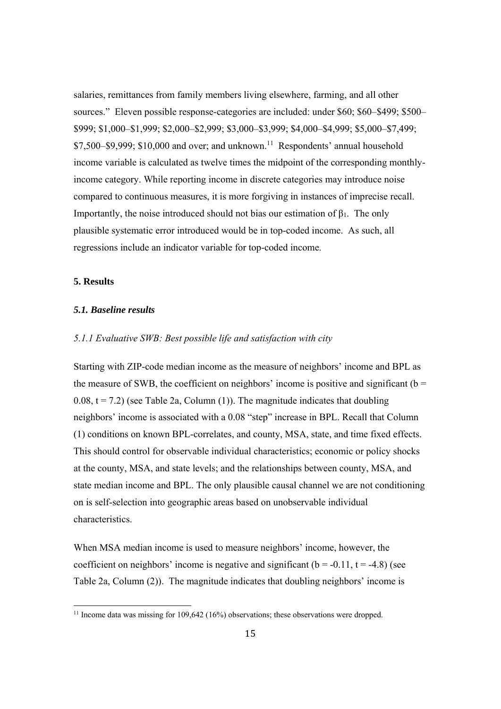salaries, remittances from family members living elsewhere, farming, and all other sources." Eleven possible response-categories are included: under \$60; \$60–\$499; \$500– \$999; \$1,000–\$1,999; \$2,000–\$2,999; \$3,000–\$3,999; \$4,000–\$4,999; \$5,000–\$7,499;  $$7,500–$9,999$ ;  $$10,000$  and over; and unknown.<sup>11</sup> Respondents' annual household income variable is calculated as twelve times the midpoint of the corresponding monthlyincome category. While reporting income in discrete categories may introduce noise compared to continuous measures, it is more forgiving in instances of imprecise recall. Importantly, the noise introduced should not bias our estimation of  $\beta_1$ . The only plausible systematic error introduced would be in top-coded income. As such, all regressions include an indicator variable for top-coded income.

#### **5. Results**

#### *5.1. Baseline results*

 

#### *5.1.1 Evaluative SWB: Best possible life and satisfaction with city*

Starting with ZIP-code median income as the measure of neighbors' income and BPL as the measure of SWB, the coefficient on neighbors' income is positive and significant ( $b =$  $0.08$ ,  $t = 7.2$ ) (see Table 2a, Column (1)). The magnitude indicates that doubling neighbors' income is associated with a 0.08 "step" increase in BPL. Recall that Column (1) conditions on known BPL-correlates, and county, MSA, state, and time fixed effects. This should control for observable individual characteristics; economic or policy shocks at the county, MSA, and state levels; and the relationships between county, MSA, and state median income and BPL. The only plausible causal channel we are not conditioning on is self-selection into geographic areas based on unobservable individual characteristics.

When MSA median income is used to measure neighbors' income, however, the coefficient on neighbors' income is negative and significant ( $b = -0.11$ ,  $t = -4.8$ ) (see Table 2a, Column (2)). The magnitude indicates that doubling neighbors' income is

<sup>&</sup>lt;sup>11</sup> Income data was missing for  $109,642$  ( $16\%$ ) observations; these observations were dropped.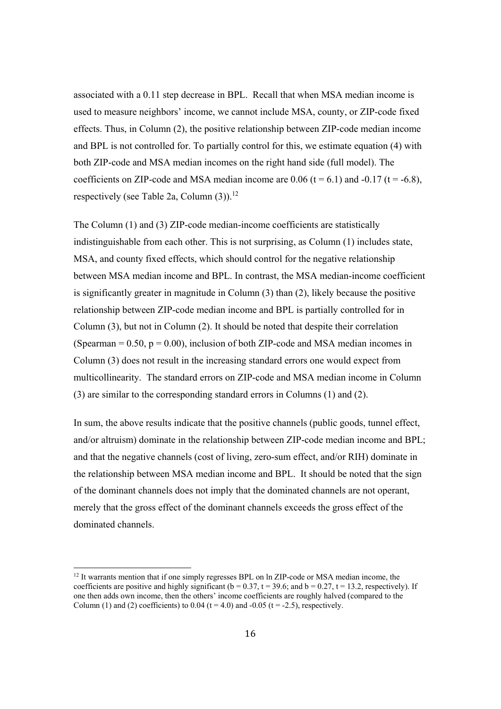associated with a 0.11 step decrease in BPL. Recall that when MSA median income is used to measure neighbors' income, we cannot include MSA, county, or ZIP-code fixed effects. Thus, in Column (2), the positive relationship between ZIP-code median income and BPL is not controlled for. To partially control for this, we estimate equation (4) with both ZIP-code and MSA median incomes on the right hand side (full model). The coefficients on ZIP-code and MSA median income are 0.06 ( $t = 6.1$ ) and -0.17 ( $t = -6.8$ ), respectively (see Table 2a, Column  $(3)$ ).<sup>12</sup>

The Column (1) and (3) ZIP-code median-income coefficients are statistically indistinguishable from each other. This is not surprising, as Column (1) includes state, MSA, and county fixed effects, which should control for the negative relationship between MSA median income and BPL. In contrast, the MSA median-income coefficient is significantly greater in magnitude in Column (3) than (2), likely because the positive relationship between ZIP-code median income and BPL is partially controlled for in Column (3), but not in Column (2). It should be noted that despite their correlation (Spearman  $= 0.50$ ,  $p = 0.00$ ), inclusion of both ZIP-code and MSA median incomes in Column (3) does not result in the increasing standard errors one would expect from multicollinearity. The standard errors on ZIP-code and MSA median income in Column (3) are similar to the corresponding standard errors in Columns (1) and (2).

In sum, the above results indicate that the positive channels (public goods, tunnel effect, and/or altruism) dominate in the relationship between ZIP-code median income and BPL; and that the negative channels (cost of living, zero-sum effect, and/or RIH) dominate in the relationship between MSA median income and BPL. It should be noted that the sign of the dominant channels does not imply that the dominated channels are not operant, merely that the gross effect of the dominant channels exceeds the gross effect of the dominated channels.

 

<sup>&</sup>lt;sup>12</sup> It warrants mention that if one simply regresses BPL on ln ZIP-code or MSA median income, the coefficients are positive and highly significant ( $b = 0.37$ ,  $t = 39.6$ ; and  $b = 0.27$ ,  $t = 13.2$ , respectively). If one then adds own income, then the others' income coefficients are roughly halved (compared to the Column (1) and (2) coefficients) to  $0.04$  (t = 4.0) and  $-0.05$  (t = -2.5), respectively.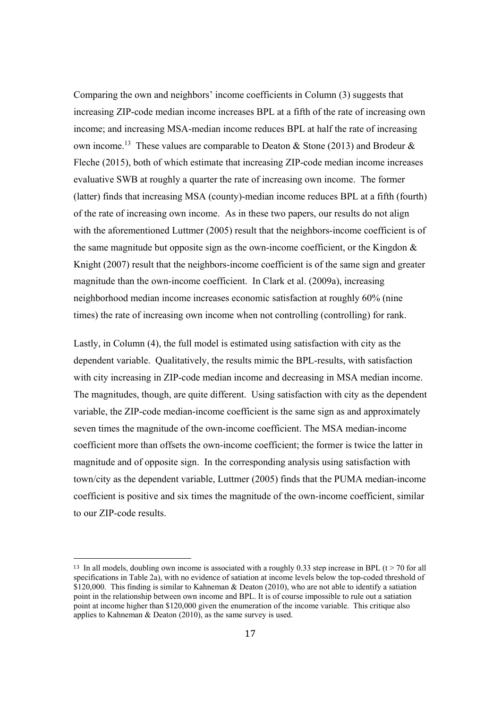Comparing the own and neighbors' income coefficients in Column (3) suggests that increasing ZIP-code median income increases BPL at a fifth of the rate of increasing own income; and increasing MSA-median income reduces BPL at half the rate of increasing own income.<sup>13</sup> These values are comparable to Deaton & Stone (2013) and Brodeur & Fleche (2015), both of which estimate that increasing ZIP-code median income increases evaluative SWB at roughly a quarter the rate of increasing own income. The former (latter) finds that increasing MSA (county)-median income reduces BPL at a fifth (fourth) of the rate of increasing own income. As in these two papers, our results do not align with the aforementioned Luttmer (2005) result that the neighbors-income coefficient is of the same magnitude but opposite sign as the own-income coefficient, or the Kingdon  $\&$ Knight (2007) result that the neighbors-income coefficient is of the same sign and greater magnitude than the own-income coefficient. In Clark et al. (2009a), increasing neighborhood median income increases economic satisfaction at roughly 60% (nine times) the rate of increasing own income when not controlling (controlling) for rank.

Lastly, in Column (4), the full model is estimated using satisfaction with city as the dependent variable. Qualitatively, the results mimic the BPL-results, with satisfaction with city increasing in ZIP-code median income and decreasing in MSA median income. The magnitudes, though, are quite different. Using satisfaction with city as the dependent variable, the ZIP-code median-income coefficient is the same sign as and approximately seven times the magnitude of the own-income coefficient. The MSA median-income coefficient more than offsets the own-income coefficient; the former is twice the latter in magnitude and of opposite sign. In the corresponding analysis using satisfaction with town/city as the dependent variable, Luttmer (2005) finds that the PUMA median-income coefficient is positive and six times the magnitude of the own-income coefficient, similar to our ZIP-code results.

 

<sup>&</sup>lt;sup>13</sup> In all models, doubling own income is associated with a roughly 0.33 step increase in BPL (t > 70 for all specifications in Table 2a), with no evidence of satiation at income levels below the top-coded threshold of  $$120,000$ . This finding is similar to Kahneman & Deaton (2010), who are not able to identify a satiation point in the relationship between own income and BPL. It is of course impossible to rule out a satiation point at income higher than \$120,000 given the enumeration of the income variable. This critique also applies to Kahneman & Deaton (2010), as the same survey is used.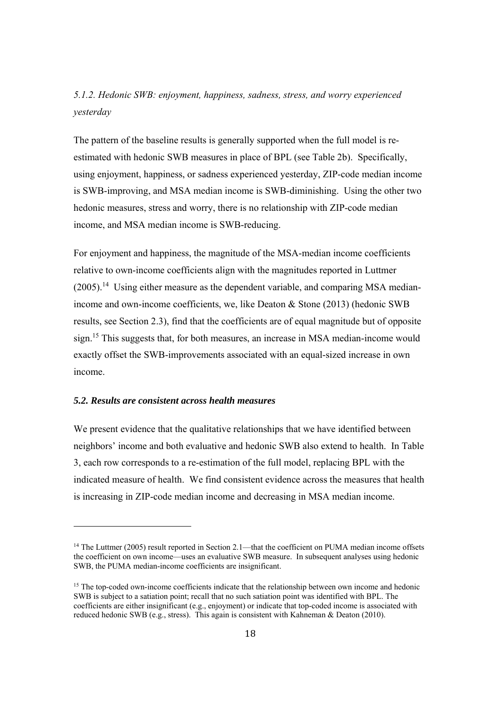## *5.1.2. Hedonic SWB: enjoyment, happiness, sadness, stress, and worry experienced yesterday*

The pattern of the baseline results is generally supported when the full model is reestimated with hedonic SWB measures in place of BPL (see Table 2b). Specifically, using enjoyment, happiness, or sadness experienced yesterday, ZIP-code median income is SWB-improving, and MSA median income is SWB-diminishing. Using the other two hedonic measures, stress and worry, there is no relationship with ZIP-code median income, and MSA median income is SWB-reducing.

For enjoyment and happiness, the magnitude of the MSA-median income coefficients relative to own-income coefficients align with the magnitudes reported in Luttmer  $(2005)$ .<sup>14</sup> Using either measure as the dependent variable, and comparing MSA medianincome and own-income coefficients, we, like Deaton & Stone (2013) (hedonic SWB results, see Section 2.3), find that the coefficients are of equal magnitude but of opposite sign.15 This suggests that, for both measures, an increase in MSA median-income would exactly offset the SWB-improvements associated with an equal-sized increase in own income.

#### *5.2. Results are consistent across health measures*

 

We present evidence that the qualitative relationships that we have identified between neighbors' income and both evaluative and hedonic SWB also extend to health. In Table 3, each row corresponds to a re-estimation of the full model, replacing BPL with the indicated measure of health. We find consistent evidence across the measures that health is increasing in ZIP-code median income and decreasing in MSA median income.

<sup>&</sup>lt;sup>14</sup> The Luttmer (2005) result reported in Section 2.1—that the coefficient on PUMA median income offsets the coefficient on own income—uses an evaluative SWB measure. In subsequent analyses using hedonic SWB, the PUMA median-income coefficients are insignificant.

<sup>&</sup>lt;sup>15</sup> The top-coded own-income coefficients indicate that the relationship between own income and hedonic SWB is subject to a satiation point; recall that no such satiation point was identified with BPL. The coefficients are either insignificant (e.g., enjoyment) or indicate that top-coded income is associated with reduced hedonic SWB (e.g., stress). This again is consistent with Kahneman & Deaton (2010).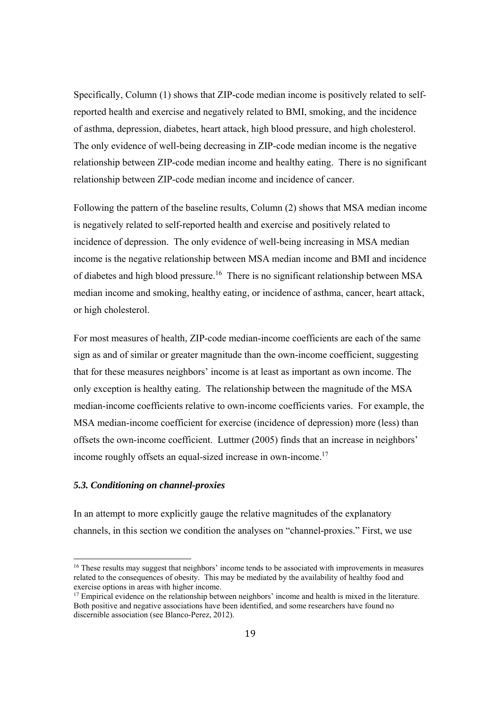Specifically, Column (1) shows that ZIP-code median income is positively related to selfreported health and exercise and negatively related to BMI, smoking, and the incidence of asthma, depression, diabetes, heart attack, high blood pressure, and high cholesterol. The only evidence of well-being decreasing in ZIP-code median income is the negative relationship between ZIP-code median income and healthy eating. There is no significant relationship between ZIP-code median income and incidence of cancer.

Following the pattern of the baseline results, Column (2) shows that MSA median income is negatively related to self-reported health and exercise and positively related to incidence of depression. The only evidence of well-being increasing in MSA median income is the negative relationship between MSA median income and BMI and incidence of diabetes and high blood pressure.<sup>16</sup> There is no significant relationship between MSA median income and smoking, healthy eating, or incidence of asthma, cancer, heart attack, or high cholesterol.

For most measures of health, ZIP-code median-income coefficients are each of the same sign as and of similar or greater magnitude than the own-income coefficient, suggesting that for these measures neighbors' income is at least as important as own income. The only exception is healthy eating. The relationship between the magnitude of the MSA median-income coefficients relative to own-income coefficients varies. For example, the MSA median-income coefficient for exercise (incidence of depression) more (less) than offsets the own-income coefficient. Luttmer (2005) finds that an increase in neighbors' income roughly offsets an equal-sized increase in own-income.<sup>17</sup>

#### *5.3. Conditioning on channel-proxies*

 

In an attempt to more explicitly gauge the relative magnitudes of the explanatory channels, in this section we condition the analyses on "channel-proxies." First, we use

<sup>&</sup>lt;sup>16</sup> These results may suggest that neighbors' income tends to be associated with improvements in measures related to the consequences of obesity. This may be mediated by the availability of healthy food and exercise options in areas with higher income.

<sup>&</sup>lt;sup>17</sup> Empirical evidence on the relationship between neighbors' income and health is mixed in the literature. Both positive and negative associations have been identified, and some researchers have found no discernible association (see Blanco-Perez, 2012).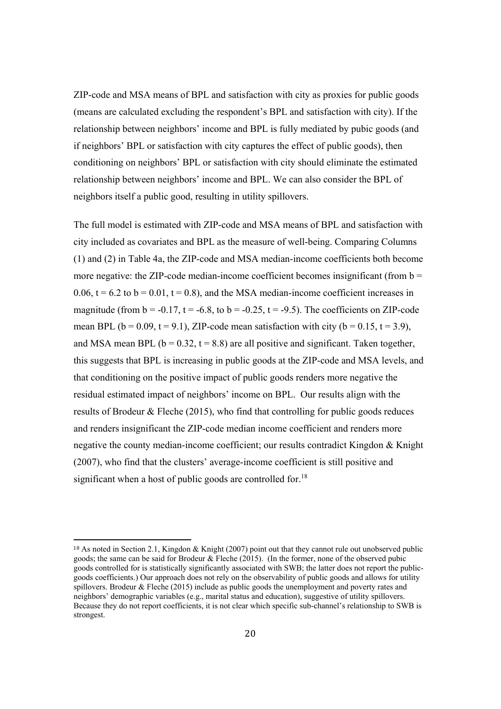ZIP-code and MSA means of BPL and satisfaction with city as proxies for public goods (means are calculated excluding the respondent's BPL and satisfaction with city). If the relationship between neighbors' income and BPL is fully mediated by pubic goods (and if neighbors' BPL or satisfaction with city captures the effect of public goods), then conditioning on neighbors' BPL or satisfaction with city should eliminate the estimated relationship between neighbors' income and BPL. We can also consider the BPL of neighbors itself a public good, resulting in utility spillovers.

The full model is estimated with ZIP-code and MSA means of BPL and satisfaction with city included as covariates and BPL as the measure of well-being. Comparing Columns (1) and (2) in Table 4a, the ZIP-code and MSA median-income coefficients both become more negative: the ZIP-code median-income coefficient becomes insignificant (from  $b =$ 0.06,  $t = 6.2$  to  $b = 0.01$ ,  $t = 0.8$ ), and the MSA median-income coefficient increases in magnitude (from  $b = -0.17$ ,  $t = -6.8$ , to  $b = -0.25$ ,  $t = -9.5$ ). The coefficients on ZIP-code mean BPL ( $b = 0.09$ ,  $t = 9.1$ ), ZIP-code mean satisfaction with city ( $b = 0.15$ ,  $t = 3.9$ ), and MSA mean BPL ( $b = 0.32$ ,  $t = 8.8$ ) are all positive and significant. Taken together, this suggests that BPL is increasing in public goods at the ZIP-code and MSA levels, and that conditioning on the positive impact of public goods renders more negative the residual estimated impact of neighbors' income on BPL. Our results align with the results of Brodeur & Fleche (2015), who find that controlling for public goods reduces and renders insignificant the ZIP-code median income coefficient and renders more negative the county median-income coefficient; our results contradict Kingdon & Knight (2007), who find that the clusters' average-income coefficient is still positive and significant when a host of public goods are controlled for.<sup>18</sup>

 

<sup>18</sup> As noted in Section 2.1, Kingdon & Knight (2007) point out that they cannot rule out unobserved public goods; the same can be said for Brodeur & Fleche (2015). (In the former, none of the observed pubic goods controlled for is statistically significantly associated with SWB; the latter does not report the publicgoods coefficients.) Our approach does not rely on the observability of public goods and allows for utility spillovers. Brodeur & Fleche (2015) include as public goods the unemployment and poverty rates and neighbors' demographic variables (e.g., marital status and education), suggestive of utility spillovers. Because they do not report coefficients, it is not clear which specific sub-channel's relationship to SWB is strongest.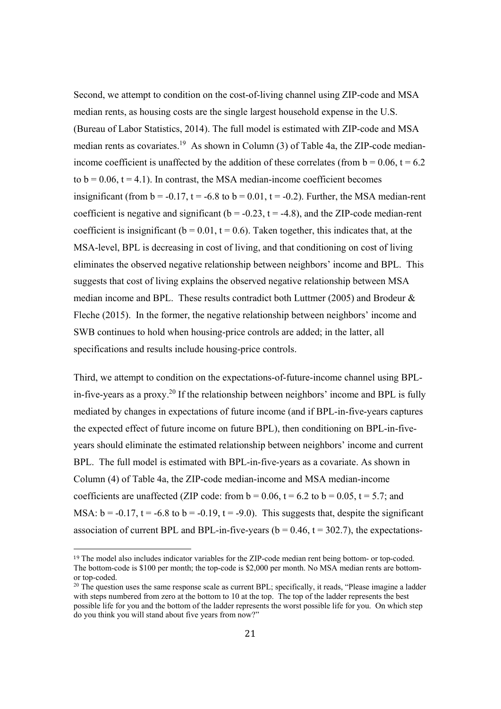Second, we attempt to condition on the cost-of-living channel using ZIP-code and MSA median rents, as housing costs are the single largest household expense in the U.S. (Bureau of Labor Statistics, 2014). The full model is estimated with ZIP-code and MSA median rents as covariates.<sup>19</sup> As shown in Column  $(3)$  of Table 4a, the ZIP-code medianincome coefficient is unaffected by the addition of these correlates (from  $b = 0.06$ ,  $t = 6.2$ ) to  $b = 0.06$ ,  $t = 4.1$ ). In contrast, the MSA median-income coefficient becomes insignificant (from  $b = -0.17$ ,  $t = -6.8$  to  $b = 0.01$ ,  $t = -0.2$ ). Further, the MSA median-rent coefficient is negative and significant ( $b = -0.23$ ,  $t = -4.8$ ), and the ZIP-code median-rent coefficient is insignificant ( $b = 0.01$ ,  $t = 0.6$ ). Taken together, this indicates that, at the MSA-level, BPL is decreasing in cost of living, and that conditioning on cost of living eliminates the observed negative relationship between neighbors' income and BPL. This suggests that cost of living explains the observed negative relationship between MSA median income and BPL. These results contradict both Luttmer (2005) and Brodeur & Fleche (2015). In the former, the negative relationship between neighbors' income and SWB continues to hold when housing-price controls are added; in the latter, all specifications and results include housing-price controls.

Third, we attempt to condition on the expectations-of-future-income channel using BPLin-five-years as a proxy.<sup>20</sup> If the relationship between neighbors' income and BPL is fully mediated by changes in expectations of future income (and if BPL-in-five-years captures the expected effect of future income on future BPL), then conditioning on BPL-in-fiveyears should eliminate the estimated relationship between neighbors' income and current BPL. The full model is estimated with BPL-in-five-years as a covariate. As shown in Column (4) of Table 4a, the ZIP-code median-income and MSA median-income coefficients are unaffected (ZIP code: from  $b = 0.06$ ,  $t = 6.2$  to  $b = 0.05$ ,  $t = 5.7$ ; and MSA:  $b = -0.17$ ,  $t = -6.8$  to  $b = -0.19$ ,  $t = -9.0$ ). This suggests that, despite the significant association of current BPL and BPL-in-five-years ( $b = 0.46$ ,  $t = 302.7$ ), the expectations-

 

<sup>19</sup> The model also includes indicator variables for the ZIP-code median rent being bottom- or top-coded. The bottom-code is \$100 per month; the top-code is \$2,000 per month. No MSA median rents are bottomor top-coded.

<sup>&</sup>lt;sup>20</sup> The question uses the same response scale as current BPL; specifically, it reads, "Please imagine a ladder with steps numbered from zero at the bottom to 10 at the top. The top of the ladder represents the best possible life for you and the bottom of the ladder represents the worst possible life for you. On which step do you think you will stand about five years from now?"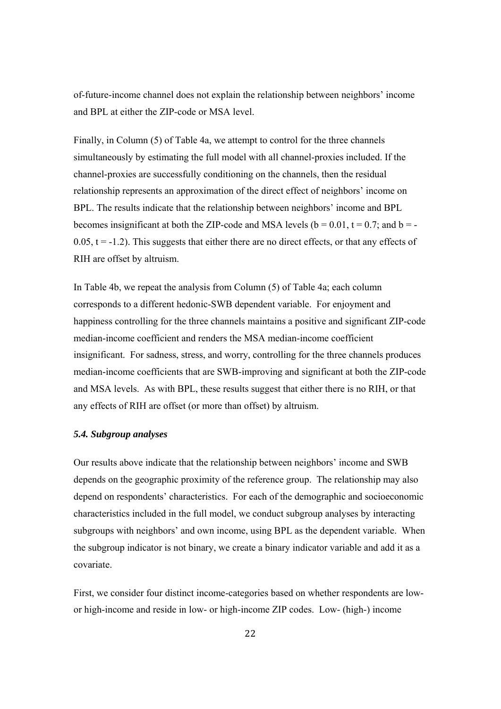of-future-income channel does not explain the relationship between neighbors' income and BPL at either the ZIP-code or MSA level.

Finally, in Column (5) of Table 4a, we attempt to control for the three channels simultaneously by estimating the full model with all channel-proxies included. If the channel-proxies are successfully conditioning on the channels, then the residual relationship represents an approximation of the direct effect of neighbors' income on BPL. The results indicate that the relationship between neighbors' income and BPL becomes insignificant at both the ZIP-code and MSA levels ( $b = 0.01$ ,  $t = 0.7$ ; and  $b = 0.05$ ,  $t = -1.2$ ). This suggests that either there are no direct effects, or that any effects of RIH are offset by altruism.

In Table 4b, we repeat the analysis from Column (5) of Table 4a; each column corresponds to a different hedonic-SWB dependent variable. For enjoyment and happiness controlling for the three channels maintains a positive and significant ZIP-code median-income coefficient and renders the MSA median-income coefficient insignificant. For sadness, stress, and worry, controlling for the three channels produces median-income coefficients that are SWB-improving and significant at both the ZIP-code and MSA levels. As with BPL, these results suggest that either there is no RIH, or that any effects of RIH are offset (or more than offset) by altruism.

#### *5.4. Subgroup analyses*

Our results above indicate that the relationship between neighbors' income and SWB depends on the geographic proximity of the reference group. The relationship may also depend on respondents' characteristics. For each of the demographic and socioeconomic characteristics included in the full model, we conduct subgroup analyses by interacting subgroups with neighbors' and own income, using BPL as the dependent variable. When the subgroup indicator is not binary, we create a binary indicator variable and add it as a covariate.

First, we consider four distinct income-categories based on whether respondents are lowor high-income and reside in low- or high-income ZIP codes. Low- (high-) income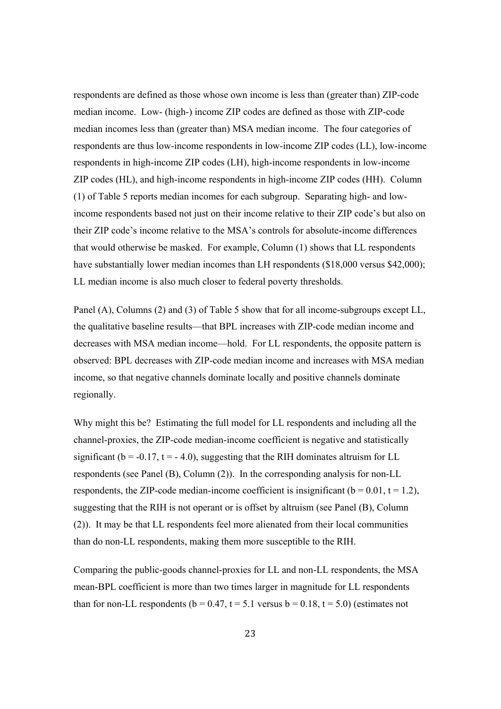respondents are defined as those whose own income is less than (greater than) ZIP-code median income. Low- (high-) income ZIP codes are defined as those with ZIP-code median incomes less than (greater than) MSA median income. The four categories of respondents are thus low-income respondents in low-income ZIP codes (LL), low-income respondents in high-income ZIP codes (LH), high-income respondents in low-income ZIP codes (HL), and high-income respondents in high-income ZIP codes (HH). Column (1) of Table 5 reports median incomes for each subgroup. Separating high- and lowincome respondents based not just on their income relative to their ZIP code's but also on their ZIP code's income relative to the MSA's controls for absolute-income differences that would otherwise be masked. For example, Column (1) shows that LL respondents have substantially lower median incomes than LH respondents (\$18,000 versus \$42,000); LL median income is also much closer to federal poverty thresholds.

Panel (A), Columns (2) and (3) of Table 5 show that for all income-subgroups except LL, the qualitative baseline results—that BPL increases with ZIP-code median income and decreases with MSA median income—hold. For LL respondents, the opposite pattern is observed: BPL decreases with ZIP-code median income and increases with MSA median income, so that negative channels dominate locally and positive channels dominate regionally.

Why might this be? Estimating the full model for LL respondents and including all the channel-proxies, the ZIP-code median-income coefficient is negative and statistically significant ( $b = -0.17$ ,  $t = -4.0$ ), suggesting that the RIH dominates altruism for LL respondents (see Panel (B), Column (2)). In the corresponding analysis for non-LL respondents, the ZIP-code median-income coefficient is insignificant ( $b = 0.01$ ,  $t = 1.2$ ), suggesting that the RIH is not operant or is offset by altruism (see Panel (B), Column (2)). It may be that LL respondents feel more alienated from their local communities than do non-LL respondents, making them more susceptible to the RIH.

Comparing the public-goods channel-proxies for LL and non-LL respondents, the MSA mean-BPL coefficient is more than two times larger in magnitude for LL respondents than for non-LL respondents ( $b = 0.47$ ,  $t = 5.1$  versus  $b = 0.18$ ,  $t = 5.0$ ) (estimates not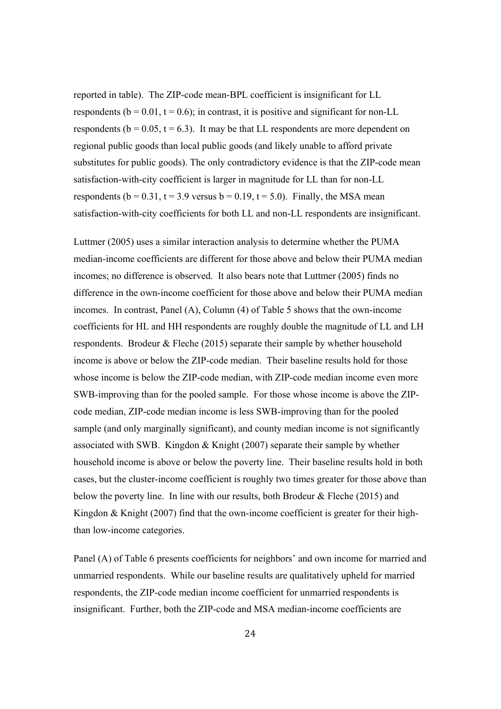reported in table). The ZIP-code mean-BPL coefficient is insignificant for LL respondents ( $b = 0.01$ ,  $t = 0.6$ ); in contrast, it is positive and significant for non-LL respondents ( $b = 0.05$ ,  $t = 6.3$ ). It may be that LL respondents are more dependent on regional public goods than local public goods (and likely unable to afford private substitutes for public goods). The only contradictory evidence is that the ZIP-code mean satisfaction-with-city coefficient is larger in magnitude for LL than for non-LL respondents ( $b = 0.31$ ,  $t = 3.9$  versus  $b = 0.19$ ,  $t = 5.0$ ). Finally, the MSA mean satisfaction-with-city coefficients for both LL and non-LL respondents are insignificant.

Luttmer (2005) uses a similar interaction analysis to determine whether the PUMA median-income coefficients are different for those above and below their PUMA median incomes; no difference is observed. It also bears note that Luttmer (2005) finds no difference in the own-income coefficient for those above and below their PUMA median incomes. In contrast, Panel (A), Column (4) of Table 5 shows that the own-income coefficients for HL and HH respondents are roughly double the magnitude of LL and LH respondents. Brodeur & Fleche (2015) separate their sample by whether household income is above or below the ZIP-code median. Their baseline results hold for those whose income is below the ZIP-code median, with ZIP-code median income even more SWB-improving than for the pooled sample. For those whose income is above the ZIPcode median, ZIP-code median income is less SWB-improving than for the pooled sample (and only marginally significant), and county median income is not significantly associated with SWB. Kingdon & Knight (2007) separate their sample by whether household income is above or below the poverty line. Their baseline results hold in both cases, but the cluster-income coefficient is roughly two times greater for those above than below the poverty line. In line with our results, both Brodeur  $\&$  Fleche (2015) and Kingdon & Knight  $(2007)$  find that the own-income coefficient is greater for their highthan low-income categories.

Panel (A) of Table 6 presents coefficients for neighbors' and own income for married and unmarried respondents. While our baseline results are qualitatively upheld for married respondents, the ZIP-code median income coefficient for unmarried respondents is insignificant. Further, both the ZIP-code and MSA median-income coefficients are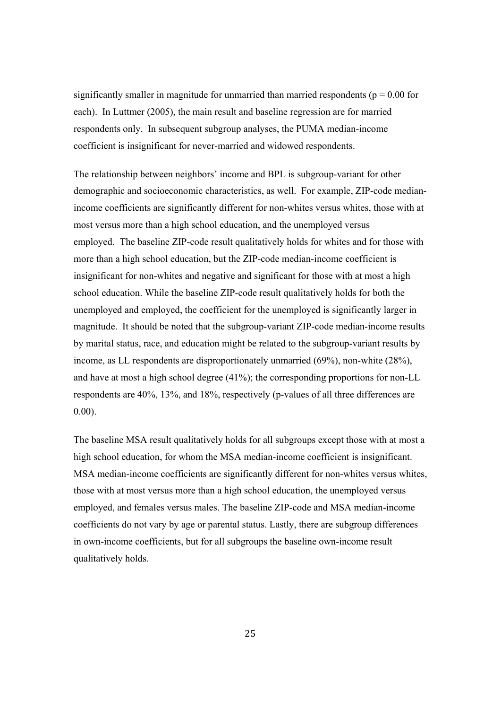significantly smaller in magnitude for unmarried than married respondents ( $p = 0.00$  for each). In Luttmer (2005), the main result and baseline regression are for married respondents only. In subsequent subgroup analyses, the PUMA median-income coefficient is insignificant for never-married and widowed respondents.

The relationship between neighbors' income and BPL is subgroup-variant for other demographic and socioeconomic characteristics, as well. For example, ZIP-code medianincome coefficients are significantly different for non-whites versus whites, those with at most versus more than a high school education, and the unemployed versus employed. The baseline ZIP-code result qualitatively holds for whites and for those with more than a high school education, but the ZIP-code median-income coefficient is insignificant for non-whites and negative and significant for those with at most a high school education. While the baseline ZIP-code result qualitatively holds for both the unemployed and employed, the coefficient for the unemployed is significantly larger in magnitude. It should be noted that the subgroup-variant ZIP-code median-income results by marital status, race, and education might be related to the subgroup-variant results by income, as LL respondents are disproportionately unmarried (69%), non-white (28%), and have at most a high school degree (41%); the corresponding proportions for non-LL respondents are 40%, 13%, and 18%, respectively (p-values of all three differences are 0.00).

The baseline MSA result qualitatively holds for all subgroups except those with at most a high school education, for whom the MSA median-income coefficient is insignificant. MSA median-income coefficients are significantly different for non-whites versus whites, those with at most versus more than a high school education, the unemployed versus employed, and females versus males. The baseline ZIP-code and MSA median-income coefficients do not vary by age or parental status. Lastly, there are subgroup differences in own-income coefficients, but for all subgroups the baseline own-income result qualitatively holds.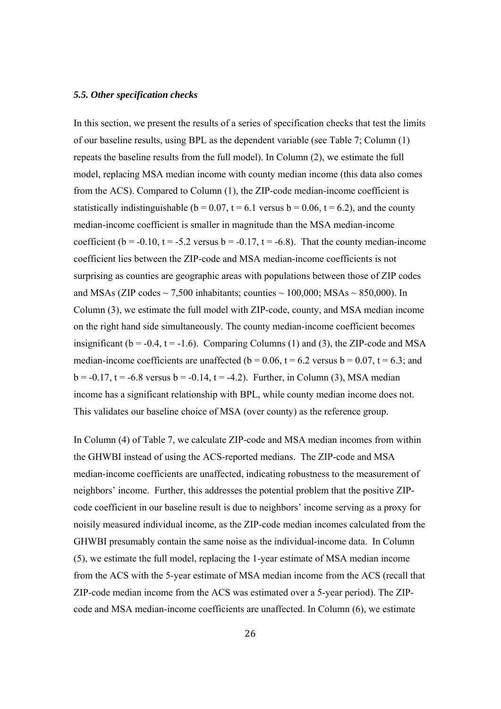#### *5.5. Other specification checks*

In this section, we present the results of a series of specification checks that test the limits of our baseline results, using BPL as the dependent variable (see Table 7; Column (1) repeats the baseline results from the full model). In Column (2), we estimate the full model, replacing MSA median income with county median income (this data also comes from the ACS). Compared to Column (1), the ZIP-code median-income coefficient is statistically indistinguishable ( $b = 0.07$ ,  $t = 6.1$  versus  $b = 0.06$ ,  $t = 6.2$ ), and the county median-income coefficient is smaller in magnitude than the MSA median-income coefficient ( $b = -0.10$ ,  $t = -5.2$  versus  $b = -0.17$ ,  $t = -6.8$ ). That the county median-income coefficient lies between the ZIP-code and MSA median-income coefficients is not surprising as counties are geographic areas with populations between those of ZIP codes and MSAs (ZIP codes  $\sim$  7,500 inhabitants; counties  $\sim$  100,000; MSAs  $\sim$  850,000). In Column (3), we estimate the full model with ZIP-code, county, and MSA median income on the right hand side simultaneously. The county median-income coefficient becomes insignificant ( $b = -0.4$ ,  $t = -1.6$ ). Comparing Columns (1) and (3), the ZIP-code and MSA median-income coefficients are unaffected ( $b = 0.06$ ,  $t = 6.2$  versus  $b = 0.07$ ,  $t = 6.3$ ; and  $b = -0.17$ ,  $t = -6.8$  versus  $b = -0.14$ ,  $t = -4.2$ ). Further, in Column (3), MSA median income has a significant relationship with BPL, while county median income does not. This validates our baseline choice of MSA (over county) as the reference group.

In Column (4) of Table 7, we calculate ZIP-code and MSA median incomes from within the GHWBI instead of using the ACS-reported medians. The ZIP-code and MSA median-income coefficients are unaffected, indicating robustness to the measurement of neighbors' income. Further, this addresses the potential problem that the positive ZIPcode coefficient in our baseline result is due to neighbors' income serving as a proxy for noisily measured individual income, as the ZIP-code median incomes calculated from the GHWBI presumably contain the same noise as the individual-income data. In Column (5), we estimate the full model, replacing the 1-year estimate of MSA median income from the ACS with the 5-year estimate of MSA median income from the ACS (recall that ZIP-code median income from the ACS was estimated over a 5-year period). The ZIPcode and MSA median-income coefficients are unaffected. In Column (6), we estimate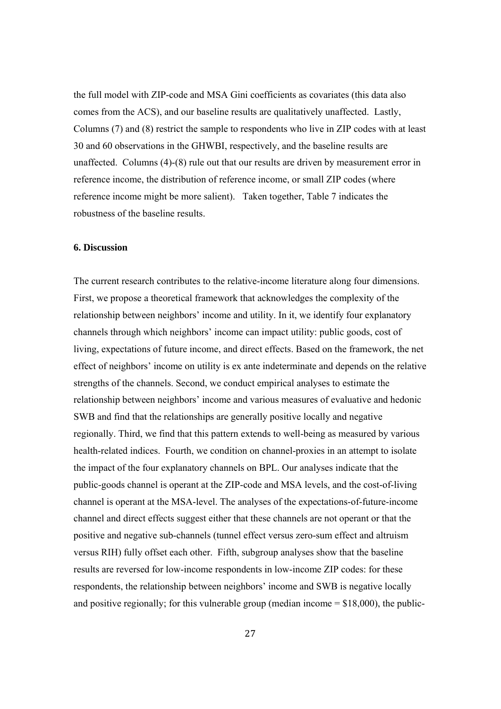the full model with ZIP-code and MSA Gini coefficients as covariates (this data also comes from the ACS), and our baseline results are qualitatively unaffected. Lastly, Columns (7) and (8) restrict the sample to respondents who live in ZIP codes with at least 30 and 60 observations in the GHWBI, respectively, and the baseline results are unaffected. Columns (4)-(8) rule out that our results are driven by measurement error in reference income, the distribution of reference income, or small ZIP codes (where reference income might be more salient). Taken together, Table 7 indicates the robustness of the baseline results.

#### **6. Discussion**

The current research contributes to the relative-income literature along four dimensions. First, we propose a theoretical framework that acknowledges the complexity of the relationship between neighbors' income and utility. In it, we identify four explanatory channels through which neighbors' income can impact utility: public goods, cost of living, expectations of future income, and direct effects. Based on the framework, the net effect of neighbors' income on utility is ex ante indeterminate and depends on the relative strengths of the channels. Second, we conduct empirical analyses to estimate the relationship between neighbors' income and various measures of evaluative and hedonic SWB and find that the relationships are generally positive locally and negative regionally. Third, we find that this pattern extends to well-being as measured by various health-related indices. Fourth, we condition on channel-proxies in an attempt to isolate the impact of the four explanatory channels on BPL. Our analyses indicate that the public-goods channel is operant at the ZIP-code and MSA levels, and the cost-of-living channel is operant at the MSA-level. The analyses of the expectations-of-future-income channel and direct effects suggest either that these channels are not operant or that the positive and negative sub-channels (tunnel effect versus zero-sum effect and altruism versus RIH) fully offset each other. Fifth, subgroup analyses show that the baseline results are reversed for low-income respondents in low-income ZIP codes: for these respondents, the relationship between neighbors' income and SWB is negative locally and positive regionally; for this vulnerable group (median income  $= $18,000$ ), the public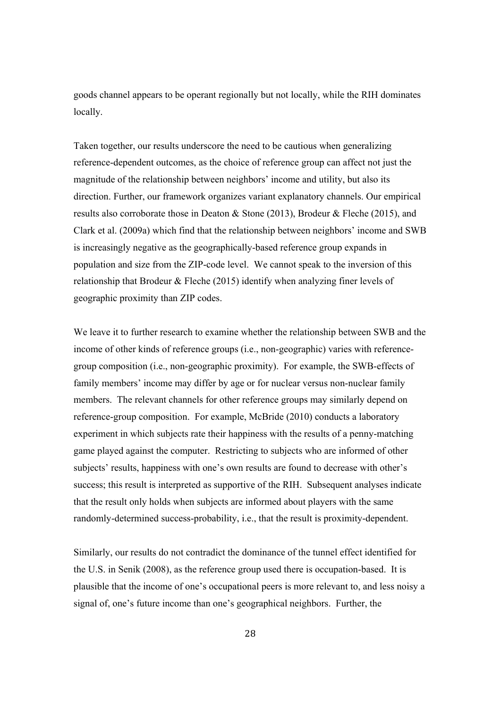goods channel appears to be operant regionally but not locally, while the RIH dominates locally.

Taken together, our results underscore the need to be cautious when generalizing reference-dependent outcomes, as the choice of reference group can affect not just the magnitude of the relationship between neighbors' income and utility, but also its direction. Further, our framework organizes variant explanatory channels. Our empirical results also corroborate those in Deaton & Stone (2013), Brodeur & Fleche (2015), and Clark et al. (2009a) which find that the relationship between neighbors' income and SWB is increasingly negative as the geographically-based reference group expands in population and size from the ZIP-code level. We cannot speak to the inversion of this relationship that Brodeur & Fleche (2015) identify when analyzing finer levels of geographic proximity than ZIP codes.

We leave it to further research to examine whether the relationship between SWB and the income of other kinds of reference groups (i.e., non-geographic) varies with referencegroup composition (i.e., non-geographic proximity). For example, the SWB-effects of family members' income may differ by age or for nuclear versus non-nuclear family members. The relevant channels for other reference groups may similarly depend on reference-group composition. For example, McBride (2010) conducts a laboratory experiment in which subjects rate their happiness with the results of a penny-matching game played against the computer. Restricting to subjects who are informed of other subjects' results, happiness with one's own results are found to decrease with other's success; this result is interpreted as supportive of the RIH. Subsequent analyses indicate that the result only holds when subjects are informed about players with the same randomly-determined success-probability, i.e., that the result is proximity-dependent.

Similarly, our results do not contradict the dominance of the tunnel effect identified for the U.S. in Senik (2008), as the reference group used there is occupation-based. It is plausible that the income of one's occupational peers is more relevant to, and less noisy a signal of, one's future income than one's geographical neighbors. Further, the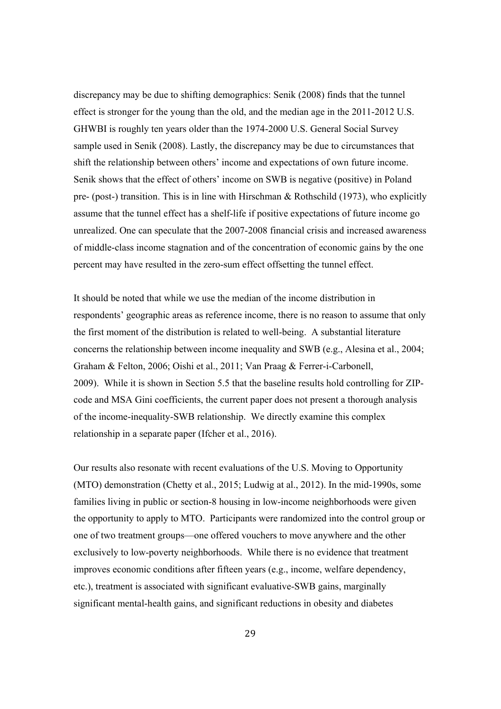discrepancy may be due to shifting demographics: Senik (2008) finds that the tunnel effect is stronger for the young than the old, and the median age in the 2011-2012 U.S. GHWBI is roughly ten years older than the 1974-2000 U.S. General Social Survey sample used in Senik (2008). Lastly, the discrepancy may be due to circumstances that shift the relationship between others' income and expectations of own future income. Senik shows that the effect of others' income on SWB is negative (positive) in Poland pre- (post-) transition. This is in line with Hirschman & Rothschild (1973), who explicitly assume that the tunnel effect has a shelf-life if positive expectations of future income go unrealized. One can speculate that the 2007-2008 financial crisis and increased awareness of middle-class income stagnation and of the concentration of economic gains by the one percent may have resulted in the zero-sum effect offsetting the tunnel effect.

It should be noted that while we use the median of the income distribution in respondents' geographic areas as reference income, there is no reason to assume that only the first moment of the distribution is related to well-being. A substantial literature concerns the relationship between income inequality and SWB (e.g., Alesina et al., 2004; Graham & Felton, 2006; Oishi et al., 2011; Van Praag & Ferrer-i-Carbonell, 2009). While it is shown in Section 5.5 that the baseline results hold controlling for ZIPcode and MSA Gini coefficients, the current paper does not present a thorough analysis of the income-inequality-SWB relationship. We directly examine this complex relationship in a separate paper (Ifcher et al., 2016).

Our results also resonate with recent evaluations of the U.S. Moving to Opportunity (MTO) demonstration (Chetty et al., 2015; Ludwig at al., 2012). In the mid-1990s, some families living in public or section-8 housing in low-income neighborhoods were given the opportunity to apply to MTO. Participants were randomized into the control group or one of two treatment groups—one offered vouchers to move anywhere and the other exclusively to low-poverty neighborhoods. While there is no evidence that treatment improves economic conditions after fifteen years (e.g., income, welfare dependency, etc.), treatment is associated with significant evaluative-SWB gains, marginally significant mental-health gains, and significant reductions in obesity and diabetes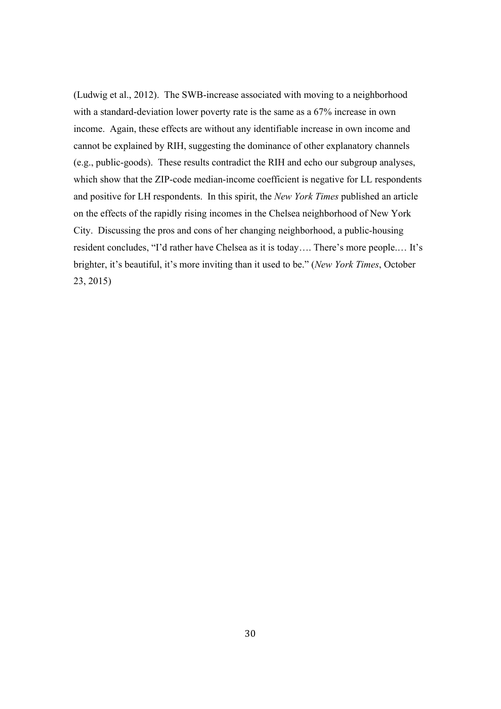(Ludwig et al., 2012). The SWB-increase associated with moving to a neighborhood with a standard-deviation lower poverty rate is the same as a 67% increase in own income. Again, these effects are without any identifiable increase in own income and cannot be explained by RIH, suggesting the dominance of other explanatory channels (e.g., public-goods). These results contradict the RIH and echo our subgroup analyses, which show that the ZIP-code median-income coefficient is negative for LL respondents and positive for LH respondents. In this spirit, the *New York Times* published an article on the effects of the rapidly rising incomes in the Chelsea neighborhood of New York City. Discussing the pros and cons of her changing neighborhood, a public-housing resident concludes, "I'd rather have Chelsea as it is today…. There's more people.… It's brighter, it's beautiful, it's more inviting than it used to be." (*New York Times*, October 23, 2015)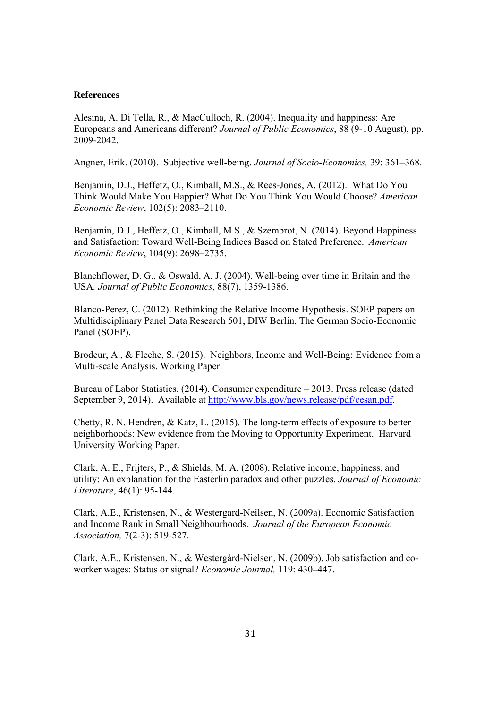#### **References**

Alesina, A. Di Tella, R., & MacCulloch, R. (2004). Inequality and happiness: Are Europeans and Americans different? *Journal of Public Economics*, 88 (9-10 August), pp. 2009-2042.

Angner, Erik. (2010). Subjective well-being. *Journal of Socio-Economics,* 39: 361–368.

Benjamin, D.J., Heffetz, O., Kimball, M.S., & Rees-Jones, A. (2012). What Do You Think Would Make You Happier? What Do You Think You Would Choose? *American Economic Review*, 102(5): 2083–2110.

Benjamin, D.J., Heffetz, O., Kimball, M.S., & Szembrot, N. (2014). Beyond Happiness and Satisfaction: Toward Well-Being Indices Based on Stated Preference. *American Economic Review*, 104(9): 2698–2735.

Blanchflower, D. G., & Oswald, A. J. (2004). Well-being over time in Britain and the USA*. Journal of Public Economics*, 88(7), 1359-1386.

Blanco-Perez, C. (2012). Rethinking the Relative Income Hypothesis. SOEP papers on Multidisciplinary Panel Data Research 501, DIW Berlin, The German Socio-Economic Panel (SOEP).

Brodeur, A., & Fleche, S. (2015). Neighbors, Income and Well-Being: Evidence from a Multi-scale Analysis. Working Paper.

Bureau of Labor Statistics. (2014). Consumer expenditure – 2013. Press release (dated September 9, 2014). Available at http://www.bls.gov/news.release/pdf/cesan.pdf.

Chetty, R. N. Hendren, & Katz, L. (2015). The long-term effects of exposure to better neighborhoods: New evidence from the Moving to Opportunity Experiment. Harvard University Working Paper.

Clark, A. E., Frijters, P., & Shields, M. A. (2008). Relative income, happiness, and utility: An explanation for the Easterlin paradox and other puzzles. *Journal of Economic Literature*, 46(1): 95-144.

Clark, A.E., Kristensen, N., & Westergard-Neilsen, N. (2009a). Economic Satisfaction and Income Rank in Small Neighbourhoods. *Journal of the European Economic Association,* 7(2-3): 519-527.

Clark, A.E., Kristensen, N., & Westergård-Nielsen, N. (2009b). Job satisfaction and coworker wages: Status or signal? *Economic Journal,* 119: 430–447.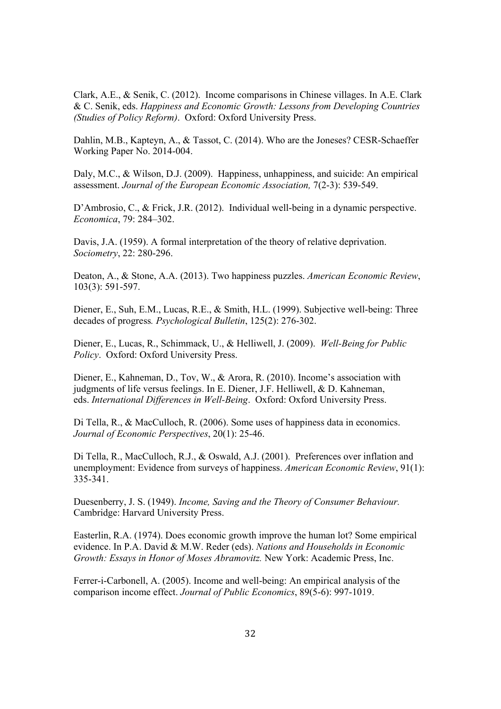Clark, A.E., & Senik, C. (2012). Income comparisons in Chinese villages. In A.E. Clark & C. Senik, eds. *Happiness and Economic Growth: Lessons from Developing Countries (Studies of Policy Reform)*. Oxford: Oxford University Press.

Dahlin, M.B., Kapteyn, A., & Tassot, C. (2014). Who are the Joneses? CESR-Schaeffer Working Paper No. 2014-004.

Daly, M.C., & Wilson, D.J. (2009). Happiness, unhappiness, and suicide: An empirical assessment. *Journal of the European Economic Association,* 7(2-3): 539-549.

D'Ambrosio, C., & Frick, J.R. (2012). Individual well-being in a dynamic perspective. *Economica*, 79: 284–302.

Davis, J.A. (1959). A formal interpretation of the theory of relative deprivation. *Sociometry*, 22: 280-296.

Deaton, A., & Stone, A.A. (2013). Two happiness puzzles. *American Economic Review*, 103(3): 591-597.

Diener, E., Suh, E.M., Lucas, R.E., & Smith, H.L. (1999). Subjective well-being: Three decades of progress*. Psychological Bulletin*, 125(2): 276-302.

Diener, E., Lucas, R., Schimmack, U., & Helliwell, J. (2009). *Well-Being for Public Policy*. Oxford: Oxford University Press.

Diener, E., Kahneman, D., Tov, W., & Arora, R. (2010). Income's association with judgments of life versus feelings. In E. Diener, J.F. Helliwell, & D. Kahneman, eds. *International Differences in Well-Being*. Oxford: Oxford University Press.

Di Tella, R., & MacCulloch, R. (2006). Some uses of happiness data in economics. *Journal of Economic Perspectives*, 20(1): 25-46.

Di Tella, R., MacCulloch, R.J., & Oswald, A.J. (2001). Preferences over inflation and unemployment: Evidence from surveys of happiness. *American Economic Review*, 91(1): 335-341.

Duesenberry, J. S. (1949). *Income, Saving and the Theory of Consumer Behaviour.* Cambridge: Harvard University Press.

Easterlin, R.A. (1974). Does economic growth improve the human lot? Some empirical evidence. In P.A. David & M.W. Reder (eds). *Nations and Households in Economic Growth: Essays in Honor of Moses Abramovitz.* New York: Academic Press, Inc.

Ferrer-i-Carbonell, A. (2005). Income and well-being: An empirical analysis of the comparison income effect. *Journal of Public Economics*, 89(5-6): 997-1019.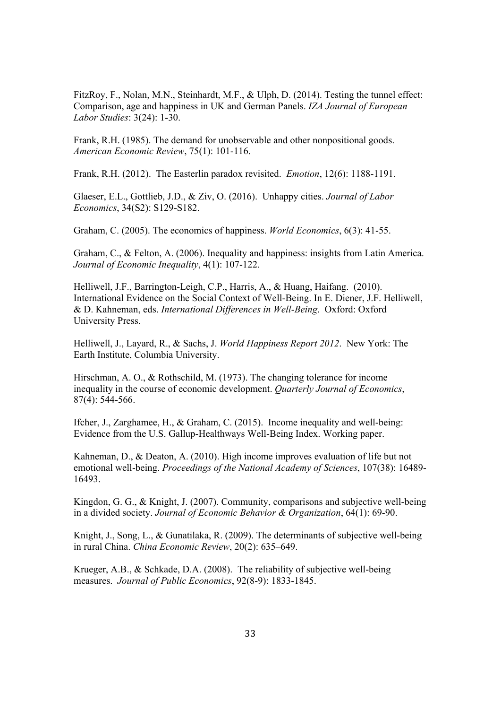FitzRoy, F., Nolan, M.N., Steinhardt, M.F., & Ulph, D. (2014). Testing the tunnel effect: Comparison, age and happiness in UK and German Panels. *IZA Journal of European Labor Studies*: 3(24): 1-30.

Frank, R.H. (1985). The demand for unobservable and other nonpositional goods. *American Economic Review*, 75(1): 101-116.

Frank, R.H. (2012). The Easterlin paradox revisited. *Emotion*, 12(6): 1188-1191.

Glaeser, E.L., Gottlieb, J.D., & Ziv, O. (2016). Unhappy cities. *Journal of Labor Economics*, 34(S2): S129-S182.

Graham, C. (2005). The economics of happiness. *World Economics*, 6(3): 41-55.

Graham, C., & Felton, A. (2006). Inequality and happiness: insights from Latin America. *Journal of Economic Inequality*, 4(1): 107-122.

Helliwell, J.F., Barrington-Leigh, C.P., Harris, A., & Huang, Haifang. (2010). International Evidence on the Social Context of Well-Being. In E. Diener, J.F. Helliwell, & D. Kahneman, eds. *International Differences in Well-Being*. Oxford: Oxford University Press.

Helliwell, J., Layard, R., & Sachs, J. *World Happiness Report 2012*. New York: The Earth Institute, Columbia University.

Hirschman, A. O., & Rothschild, M. (1973). The changing tolerance for income inequality in the course of economic development. *Quarterly Journal of Economics*, 87(4): 544-566.

Ifcher, J., Zarghamee, H., & Graham, C. (2015). Income inequality and well-being: Evidence from the U.S. Gallup-Healthways Well-Being Index. Working paper.

Kahneman, D., & Deaton, A. (2010). High income improves evaluation of life but not emotional well-being. *Proceedings of the National Academy of Sciences*, 107(38): 16489- 16493.

Kingdon, G. G., & Knight, J. (2007). Community, comparisons and subjective well-being in a divided society. *Journal of Economic Behavior & Organization*, 64(1): 69-90.

Knight, J., Song, L., & Gunatilaka, R. (2009). The determinants of subjective well-being in rural China. *China Economic Review*, 20(2): 635–649.

Krueger, A.B., & Schkade, D.A. (2008). The reliability of subjective well-being measures. *Journal of Public Economics*, 92(8-9): 1833-1845.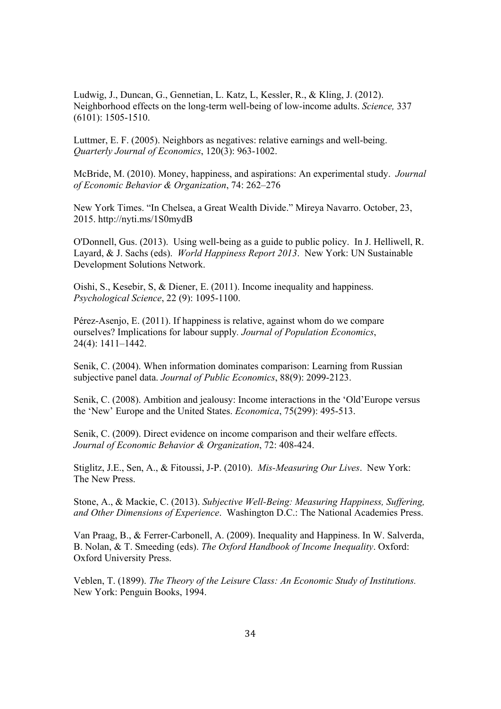Ludwig, J., Duncan, G., Gennetian, L. Katz, L, Kessler, R., & Kling, J. (2012). Neighborhood effects on the long-term well-being of low-income adults. *Science,* 337 (6101): 1505-1510.

Luttmer, E. F. (2005). Neighbors as negatives: relative earnings and well-being. *Quarterly Journal of Economics*, 120(3): 963-1002.

McBride, M. (2010). Money, happiness, and aspirations: An experimental study. *Journal of Economic Behavior & Organization*, 74: 262–276

New York Times. "In Chelsea, a Great Wealth Divide." Mireya Navarro. October, 23, 2015. http://nyti.ms/1S0mydB

O'Donnell, Gus. (2013). Using well-being as a guide to public policy. In J. Helliwell, R. Layard, & J. Sachs (eds). *World Happiness Report 2013*. New York: UN Sustainable Development Solutions Network.

Oishi, S., Kesebir, S, & Diener, E. (2011). Income inequality and happiness. *Psychological Science*, 22 (9): 1095-1100.

Pérez-Asenjo, E. (2011). If happiness is relative, against whom do we compare ourselves? Implications for labour supply*. Journal of Population Economics*, 24(4): 1411–1442.

Senik, C. (2004). When information dominates comparison: Learning from Russian subjective panel data. *Journal of Public Economics*, 88(9): 2099-2123.

Senik, C. (2008). Ambition and jealousy: Income interactions in the 'Old'Europe versus the 'New' Europe and the United States. *Economica*, 75(299): 495-513.

Senik, C. (2009). Direct evidence on income comparison and their welfare effects. *Journal of Economic Behavior & Organization*, 72: 408-424.

Stiglitz, J.E., Sen, A., & Fitoussi, J-P. (2010). *Mis-Measuring Our Lives*. New York: The New Press.

Stone, A., & Mackie, C. (2013). *Subjective Well-Being: Measuring Happiness, Suffering, and Other Dimensions of Experience*. Washington D.C.: The National Academies Press.

Van Praag, B., & Ferrer-Carbonell, A. (2009). Inequality and Happiness. In W. Salverda, B. Nolan, & T. Smeeding (eds). *The Oxford Handbook of Income Inequality*. Oxford: Oxford University Press.

Veblen, T. (1899). *The Theory of the Leisure Class: An Economic Study of Institutions.* New York: Penguin Books, 1994.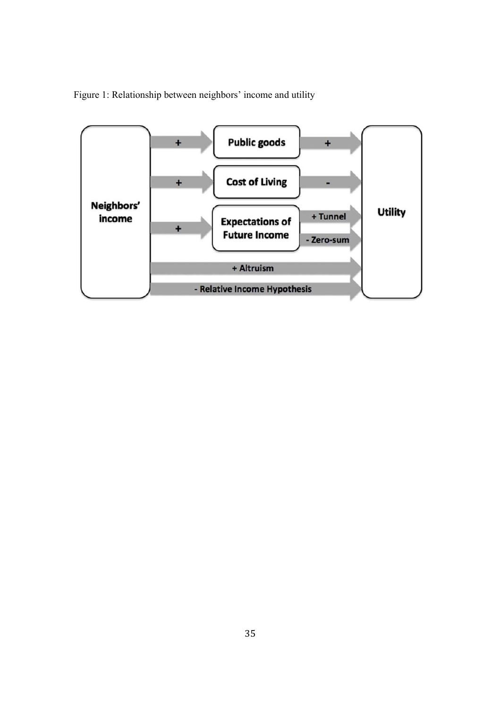Figure 1: Relationship between neighbors' income and utility

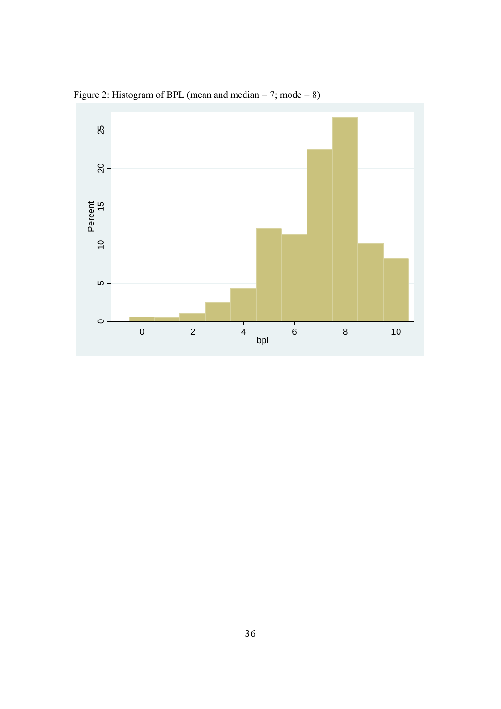

Figure 2: Histogram of BPL (mean and median = 7; mode = 8)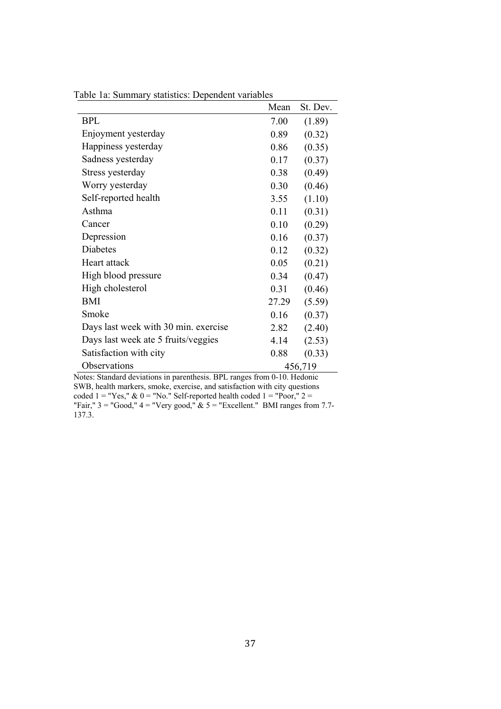| 0.01<br>$\frac{1}{2}$                | Mean  | St. Dev. |
|--------------------------------------|-------|----------|
| <b>BPL</b>                           | 7.00  | (1.89)   |
| Enjoyment yesterday                  | 0.89  | (0.32)   |
| Happiness yesterday                  | 0.86  | (0.35)   |
| Sadness yesterday                    | 0.17  | (0.37)   |
| Stress yesterday                     | 0.38  | (0.49)   |
| Worry yesterday                      | 0.30  | (0.46)   |
| Self-reported health                 | 3.55  | (1.10)   |
| Asthma                               | 0.11  | (0.31)   |
| Cancer                               | 0.10  | (0.29)   |
| Depression                           | 0.16  | (0.37)   |
| Diabetes                             | 0.12  | (0.32)   |
| Heart attack                         | 0.05  | (0.21)   |
| High blood pressure                  | 0.34  | (0.47)   |
| High cholesterol                     | 0.31  | (0.46)   |
| BMI                                  | 27.29 | (5.59)   |
| Smoke                                | 0.16  | (0.37)   |
| Days last week with 30 min. exercise | 2.82  | (2.40)   |
| Days last week ate 5 fruits/veggies  | 4.14  | (2.53)   |
| Satisfaction with city               | 0.88  | (0.33)   |
| Observations                         |       | 456,719  |

Table 1a: Summary statistics: Dependent variables

Notes: Standard deviations in parenthesis. BPL ranges from 0-10. Hedonic SWB, health markers, smoke, exercise, and satisfaction with city questions

coded  $1 = "Yes," \& 0 = "No." Self-reported health coded 1 = "Poor," 2 =$ "Fair,"  $3 =$  "Good,"  $4 =$  "Very good,"  $\&$   $5 =$  "Excellent." BMI ranges from 7.7-137.3.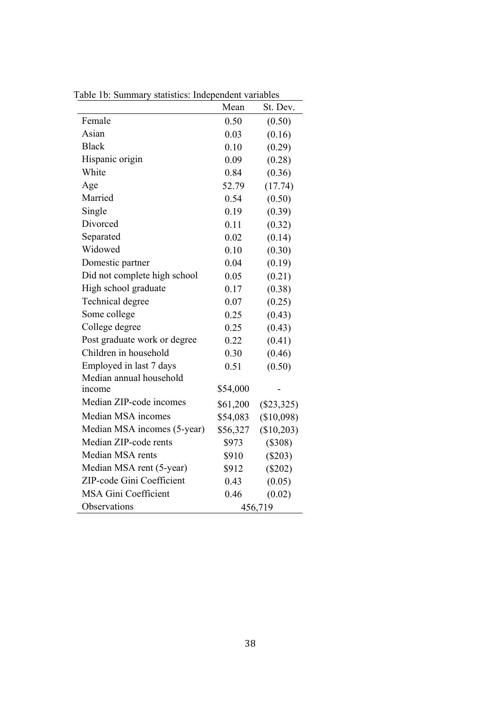|                              | Mean     | St. Dev.     |
|------------------------------|----------|--------------|
| Female                       | 0.50     | (0.50)       |
| Asian                        | 0.03     | (0.16)       |
| <b>Black</b>                 | 0.10     | (0.29)       |
| Hispanic origin              | 0.09     | (0.28)       |
| White                        | 0.84     | (0.36)       |
| Age                          | 52.79    | (17.74)      |
| Married                      | 0.54     | (0.50)       |
| Single                       | 0.19     | (0.39)       |
| Divorced                     | 0.11     | (0.32)       |
| Separated                    | 0.02     | (0.14)       |
| Widowed                      | 0.10     | (0.30)       |
| Domestic partner             | 0.04     | (0.19)       |
| Did not complete high school | 0.05     | (0.21)       |
| High school graduate         | 0.17     | (0.38)       |
| Technical degree             | 0.07     | (0.25)       |
| Some college                 | 0.25     | (0.43)       |
| College degree               | 0.25     | (0.43)       |
| Post graduate work or degree | 0.22     | (0.41)       |
| Children in household        | 0.30     | (0.46)       |
| Employed in last 7 days      | 0.51     | (0.50)       |
| Median annual household      |          |              |
| income                       | \$54,000 |              |
| Median ZIP-code incomes      | \$61,200 | $(\$23,325)$ |
| Median MSA incomes           | \$54,083 | (\$10,098)   |
| Median MSA incomes (5-year)  | \$56,327 | (\$10,203)   |
| Median ZIP-code rents        | \$973    | $(\$308)$    |
| Median MSA rents             | \$910    | $(\$203)$    |
| Median MSA rent (5-year)     | \$912    | $(\$202)$    |
| ZIP-code Gini Coefficient    | 0.43     | (0.05)       |
| <b>MSA Gini Coefficient</b>  | 0.46     | (0.02)       |
| Observations                 |          | 456,719      |

Table 1b: Summary statistics: Independent variables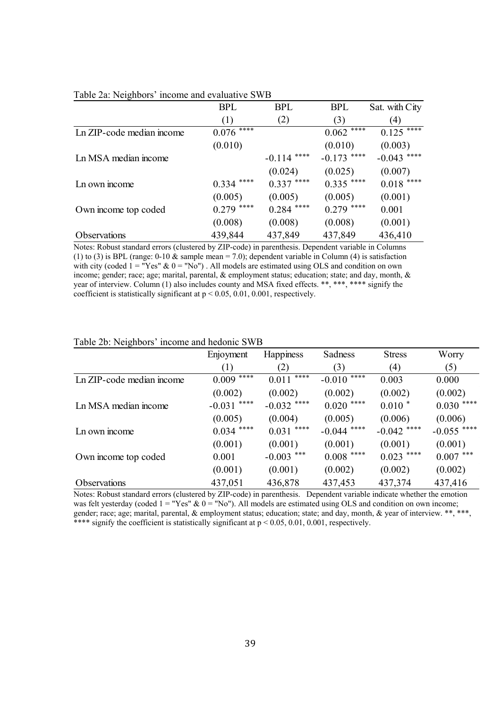|                           | <b>BPL</b>    | <b>BPL</b>    | <b>BPL</b>    | Sat. with City    |
|---------------------------|---------------|---------------|---------------|-------------------|
|                           | (1)           | (2)           | (3)           | $\left( 4\right)$ |
| Ln ZIP-code median income | ****<br>0.076 |               | ****<br>0.062 | $0.125$ ****      |
|                           | (0.010)       |               | (0.010)       | (0.003)           |
| Ln MSA median income      |               | $-0.114$ **** | $-0.173$ **** | $-0.043$ ****     |
|                           |               | (0.024)       | (0.025)       | (0.007)           |
| Ln own income             | $0.334$ ****  | $0.337$ ****  | $0.335$ ****  | $0.018$ ****      |
|                           | (0.005)       | (0.005)       | (0.005)       | (0.001)           |
| Own income top coded      | $0.279$ ****  | $0.284$ ****  | $0.279$ ****  | 0.001             |
|                           | (0.008)       | (0.008)       | (0.008)       | (0.001)           |
| <b>Observations</b>       | 439,844       | 437,849       | 437,849       | 436,410           |

#### Table 2a: Neighbors' income and evaluative SWB

Notes: Robust standard errors (clustered by ZIP-code) in parenthesis. Dependent variable in Columns (1) to (3) is BPL (range: 0-10  $\&$  sample mean = 7.0); dependent variable in Column (4) is satisfaction with city (coded  $1 = "Yes" \& 0 = "No"$ ). All models are estimated using OLS and condition on own income; gender; race; age; marital, parental, & employment status; education; state; and day, month, & year of interview. Column (1) also includes county and MSA fixed effects. \*\*, \*\*\*, \*\*\*\* signify the coefficient is statistically significant at  $p < 0.05$ , 0.01, 0.001, respectively.

#### Table 2b: Neighbors' income and hedonic SWB

|                           | Enjoyment        | <b>Happiness</b> | Sadness          | <b>Stress</b> | Worry         |
|---------------------------|------------------|------------------|------------------|---------------|---------------|
|                           | (1)              | (2)              | (3)              | (4)           | (5)           |
| Ln ZIP-code median income | ****<br>0.009    | ****<br>0.011    | ****<br>$-0.010$ | 0.003         | 0.000         |
|                           | (0.002)          | (0.002)          | (0.002)          | (0.002)       | (0.002)       |
| Ln MSA median income      | ****<br>$-0.031$ | $-0.032$ ****    | $0.020$ ****     | $0.010*$      | $0.030***$    |
|                           | (0.005)          | (0.004)          | (0.005)          | (0.006)       | (0.006)       |
| Ln own income             | $0.034$ ****     | $0.031$ ****     | $-0.044$ ****    | $-0.042$ **** | $-0.055$ **** |
|                           | (0.001)          | (0.001)          | (0.001)          | (0.001)       | (0.001)       |
| Own income top coded      | 0.001            | $-0.003$ ***     | $0.008$ ****     | $0.023$ ****  | $0.007$ ***   |
|                           | (0.001)          | (0.001)          | (0.002)          | (0.002)       | (0.002)       |
| Observations              | 437,051          | 436,878          | 437,453          | 437,374       | 437,416       |

Notes: Robust standard errors (clustered by ZIP-code) in parenthesis. Dependent variable indicate whether the emotion was felt yesterday (coded  $1 = "Yes" \& 0 = "No"$ ). All models are estimated using OLS and condition on own income; gender; race; age; marital, parental, & employment status; education; state; and day, month, & year of interview. \*\*, \*\*\*, \*\*\*\* signify the coefficient is statistically significant at  $p \le 0.05, 0.01, 0.001$ , respectively.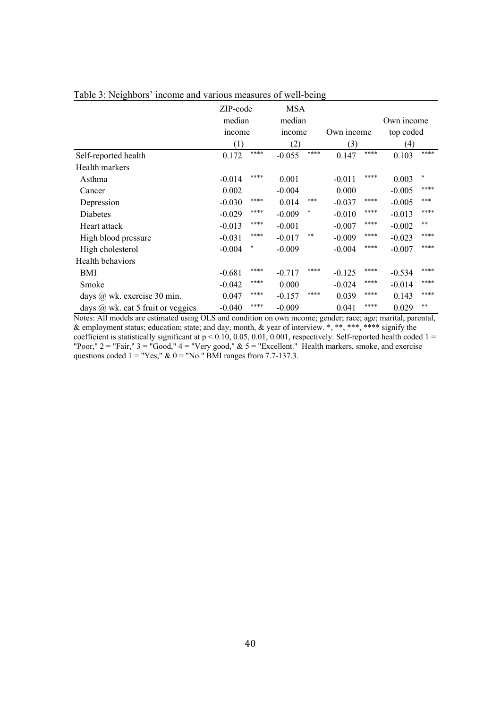|                                       | ZIP-code<br>median |      | <b>MSA</b><br>median |      |            |      | Own income |        |
|---------------------------------------|--------------------|------|----------------------|------|------------|------|------------|--------|
|                                       | <i>n</i> come      |      | <i>n</i> come        |      | Own income |      | top coded  |        |
|                                       | (1)                | **** | (2)                  | **** | (3)        | **** | (4)        | ****   |
| Self-reported health                  | 0.172              |      | $-0.055$             |      | 0.147      |      | 0.103      |        |
| Health markers                        |                    |      |                      |      |            |      |            |        |
| Asthma                                | $-0.014$           | **** | 0.001                |      | $-0.011$   | **** | 0.003      | $\ast$ |
| Cancer                                | 0.002              |      | $-0.004$             |      | 0.000      |      | $-0.005$   | ****   |
| Depression                            | $-0.030$           | **** | 0.014                | ***  | $-0.037$   | **** | $-0.005$   | ***    |
| Diabetes                              | $-0.029$           | **** | $-0.009$             | *    | $-0.010$   | **** | $-0.013$   | ****   |
| Heart attack                          | $-0.013$           | **** | $-0.001$             |      | $-0.007$   | **** | $-0.002$   | **     |
| High blood pressure                   | $-0.031$           | **** | $-0.017$             | **   | $-0.009$   | **** | $-0.023$   | ****   |
| High cholesterol                      | $-0.004$           | *    | $-0.009$             |      | $-0.004$   | **** | $-0.007$   | ****   |
| Health behaviors                      |                    |      |                      |      |            |      |            |        |
| BMI                                   | $-0.681$           | **** | $-0.717$             | **** | $-0.125$   | **** | $-0.534$   | ****   |
| Smoke                                 | $-0.042$           | **** | 0.000                |      | $-0.024$   | **** | $-0.014$   | ****   |
| days $(a)$ wk. exercise 30 min.       | 0.047              | **** | $-0.157$             | **** | 0.039      | **** | 0.143      | ****   |
| days $(a)$ wk. eat 5 fruit or veggies | $-0.040$           | **** | $-0.009$             |      | 0.041      | **** | 0.029      | **     |

Table 3: Neighbors' income and various measures of well-being

Notes: All models are estimated using OLS and condition on own income; gender; race; age; marital, parental, & employment status; education; state; and day, month, & year of interview. \*, \*\*, \*\*\*, \*\*\*\* signify the coefficient is statistically significant at  $p < 0.10, 0.05, 0.01, 0.001$ , respectively. Self-reported health coded  $1 =$ "Poor,"  $2 =$  "Fair,"  $3 =$  "Good,"  $4 =$  "Very good,"  $\& 5 =$  "Excellent." Health markers, smoke, and exercise questions coded  $1 = "Yes," \& 0 = "No." \nBMI ranges from 7.7-137.3.$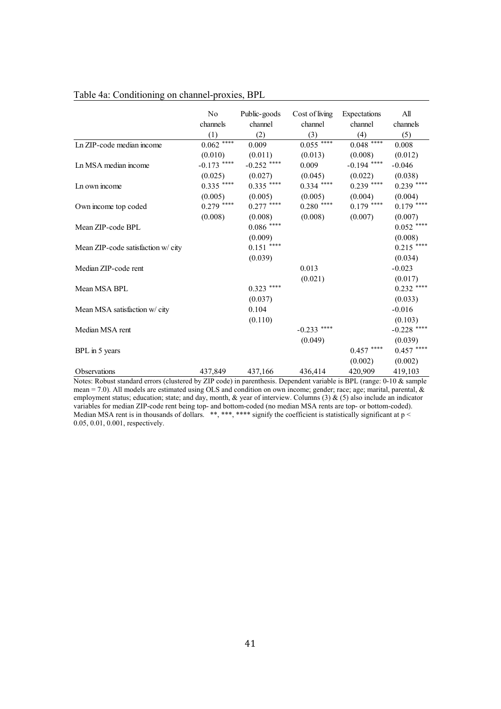|                                   | No            | Public-goods     | Cost of living | Expectations  | All           |
|-----------------------------------|---------------|------------------|----------------|---------------|---------------|
|                                   | channels      | channel          | channel        | channel       | channels      |
|                                   | (1)           | (2)              | (3)            | (4)           | (5)           |
| Ln ZIP-code median income         | $0.062$ ****  | 0.009            | $0.055***$     | $0.048***$    | 0.008         |
|                                   | (0.010)       | (0.011)          | (0.013)        | (0.008)       | (0.012)       |
| Ln MSA median income              | $-0.173$ **** | $-0.252$ ****    | 0.009          | $-0.194$ **** | $-0.046$      |
|                                   | (0.025)       | (0.027)          | (0.045)        | (0.022)       | (0.038)       |
| Ln own income                     | $0.335$ ****  | $0.335$ ****     | $0.334$ ****   | $0.239$ ****  | $0.239$ ****  |
|                                   | (0.005)       | (0.005)          | (0.005)        | (0.004)       | (0.004)       |
| Own income top coded              | $0.279$ ****  | $0.277$ ****     | $0.280$ ****   | $0.179$ ****  | $0.179$ ****  |
|                                   | (0.008)       | (0.008)          | (0.008)        | (0.007)       | (0.007)       |
| Mean ZIP-code BPL                 |               | $0.086\; ^{***}$ |                |               | $0.052$ ****  |
|                                   |               | (0.009)          |                |               | (0.008)       |
| Mean ZIP-code satisfaction w/city |               | $0.151$ ****     |                |               | $0.215$ ****  |
|                                   |               | (0.039)          |                |               | (0.034)       |
| Median ZIP-code rent              |               |                  | 0.013          |               | $-0.023$      |
|                                   |               |                  | (0.021)        |               | (0.017)       |
| Mean MSA BPL                      |               | $0.323$ ****     |                |               | $0.232$ ****  |
|                                   |               | (0.037)          |                |               | (0.033)       |
| Mean MSA satisfaction w/ city     |               | 0.104            |                |               | $-0.016$      |
|                                   |               | (0.110)          |                |               | (0.103)       |
| Median MSA rent                   |               |                  | $-0.233$ ****  |               | $-0.228$ **** |
|                                   |               |                  | (0.049)        |               | (0.039)       |
| BPL in 5 years                    |               |                  |                | $0.457$ ****  | $0.457$ ****  |
|                                   |               |                  |                | (0.002)       | (0.002)       |
| <b>Observations</b>               | 437,849       | 437,166          | 436,414        | 420,909       | 419,103       |

#### Table 4a: Conditioning on channel-proxies, BPL

Notes: Robust standard errors (clustered by ZIP code) in parenthesis. Dependent variable is BPL (range: 0-10 & sample mean = 7.0). All models are estimated using OLS and condition on own income; gender; race; age; marital, parental, & employment status; education; state; and day, month,  $\&$  year of interview. Columns (3)  $\&$  (5) also include an indicator variables for median ZIP-code rent being top- and bottom-coded (no median MSA rents are top- or bottom-coded). Median MSA rent is in thousands of dollars. \*\*, \*\*\*, \*\*\* signify the coefficient is statistically significant at  $p <$ 0.05, 0.01, 0.001, respectively.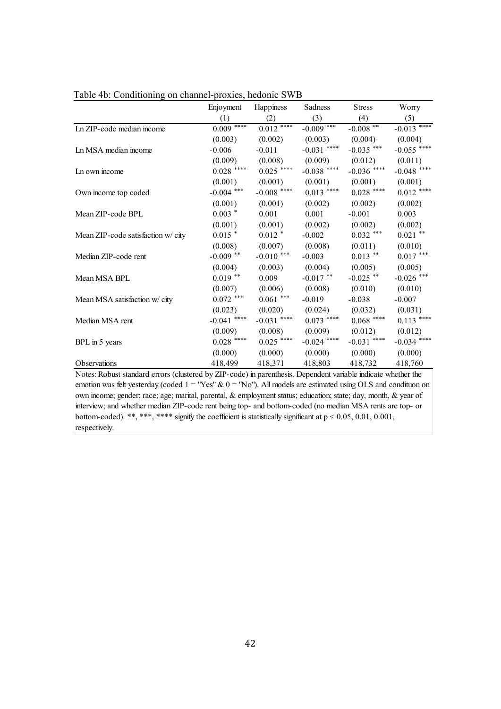|                                   | Enjoyment     | Happiness       | Sadness       | <b>Stress</b>    | Worry                    |
|-----------------------------------|---------------|-----------------|---------------|------------------|--------------------------|
|                                   | (1)           | (2)             | (3)           | (4)              | (5)                      |
| Ln ZIP-code median income         | $0.009***$    | $0.012$ ****    | $-0.009$ ***  | $-0.008$ **      | $-0.013$ <sup>****</sup> |
|                                   | (0.003)       | (0.002)         | (0.003)       | (0.004)          | (0.004)                  |
| Ln MSA median income              | $-0.006$      | $-0.011$        | $-0.031$ **** | $-0.035$ ***     | $-0.055$ ****            |
|                                   | (0.009)       | (0.008)         | (0.009)       | (0.012)          | (0.011)                  |
| Ln own income                     | $0.028$ ****  | $0.025$ ****    | $-0.038$ **** | $-0.036$ ****    | $-0.048$ ****            |
|                                   | (0.001)       | (0.001)         | (0.001)       | (0.001)          | (0.001)                  |
| Own income top coded              | $-0.004$ ***  | $-0.008$ ****   | $0.013$ ****  | $0.028$ ****     | $0.012$ ****             |
|                                   | (0.001)       | (0.001)         | (0.002)       | (0.002)          | (0.002)                  |
| Mean ZIP-code BPL                 | $0.003$ *     | 0.001           | 0.001         | $-0.001$         | 0.003                    |
|                                   | (0.001)       | (0.001)         | (0.002)       | (0.002)          | (0.002)                  |
| Mean ZIP-code satisfaction w/city | $0.015$ *     | $0.012$ *       | $-0.002$      | $0.032$ ***      | $0.021$ **               |
|                                   | (0.008)       | (0.007)         | (0.008)       | (0.011)          | (0.010)                  |
| Median ZIP-code rent              | $-0.009$ **   | -0.010 $^{***}$ | $-0.003$      | $0.013$ **       | $0.017$ ***              |
|                                   | (0.004)       | (0.003)         | (0.004)       | (0.005)          | (0.005)                  |
| Mean MSA BPL                      | $0.019$ **    | 0.009           | $-0.017$ **   | $-0.025$ **      | -0.026 $^{***}$          |
|                                   | (0.007)       | (0.006)         | (0.008)       | (0.010)          | (0.010)                  |
| Mean MSA satisfaction w/ city     | $0.072$ ***   | $0.061$ ***     | $-0.019$      | $-0.038$         | $-0.007$                 |
|                                   | (0.023)       | (0.020)         | (0.024)       | (0.032)          | (0.031)                  |
| Median MSA rent                   | $-0.041$ **** | $-0.031$ ****   | $0.073$ ****  | $0.068$ $^{***}$ | $0.113$ ****             |
|                                   | (0.009)       | (0.008)         | (0.009)       | (0.012)          | (0.012)                  |
| BPL in 5 years                    | $0.028$ ****  | $0.025$ ****    | $-0.024$ **** | $-0.031$ ****    | $-0.034$ ****            |
|                                   | (0.000)       | (0.000)         | (0.000)       | (0.000)          | (0.000)                  |
| Observations                      | 418,499       | 418,371         | 418,803       | 418,732          | 418,760                  |

Table 4b: Conditioning on channel-proxies, hedonic SWB

Notes: Robust standard errors (clustered by ZIP-code) in parenthesis. Dependent variable indicate whether the emotion was felt yesterday (coded  $1 = "Yes" \& 0 = "No"$ ). All models are estimated using OLS and condituon on own income; gender; race; age; marital, parental, & employment status; education; state; day, month, & year of interview; and whether median ZIP-code rent being top- and bottom-coded (no median MSA rents are top- or bottom-coded). \*\*, \*\*\*, \*\*\*\* signify the coefficient is statistically significant at  $p \le 0.05, 0.01, 0.001$ , respectively.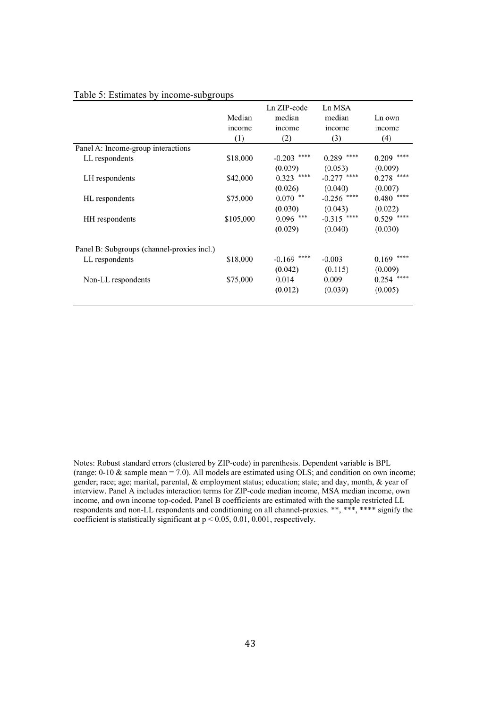| Median    | Ln ZIP-code<br>median     | Ln MSA<br>median | Ln own        |
|-----------|---------------------------|------------------|---------------|
|           |                           |                  | income        |
|           |                           |                  | (4)           |
|           |                           |                  |               |
| \$18,000  | $-0.203$                  | 0.289            | $0.209$ ****  |
|           | (0.039)                   | (0.053)          | (0.009)       |
| \$42,000  | ****<br>0.323             | $-0.277$         | $0.278$ ****  |
|           | (0.026)                   | (0.040)          | (0.007)       |
| \$75,000  | $0.070$ **                | $-0.256$ ****    | 0.480         |
|           | (0.030)                   | (0.043)          | (0.022)       |
| \$105,000 | $0.096$ ***               | $-0.315$ ****    | $0.529$ ****  |
|           | (0.029)                   | (0.040)          | (0.030)       |
|           |                           |                  |               |
|           | ****<br>-0.169            | $-0.003$         | $0.169$ ****  |
|           | (0.042)                   | (0.115)          | (0.009)       |
| \$75,000  | 0.014                     | 0.009            | 0.254         |
|           | (0.012)                   | (0.039)          | (0.005)       |
|           | income<br>(1)<br>\$18,000 | income<br>(2)    | income<br>(3) |

#### Table 5: Estimates by income-subgroups

Notes: Robust standard errors (clustered by ZIP-code) in parenthesis. Dependent variable is BPL (range:  $0-10 \&$  sample mean = 7.0). All models are estimated using OLS; and condition on own income; gender; race; age; marital, parental, & employment status; education; state; and day, month, & year of interview. Panel A includes interaction terms for ZIP-code median income, MSA median income, own income, and own income top-coded. Panel B coefficients are estimated with the sample restricted LL respondents and non-LL respondents and conditioning on all channel-proxies. \*\*, \*\*\*, \*\*\*\* signify the coefficient is statistically significant at p < 0.05, 0.01, 0.001, respectively.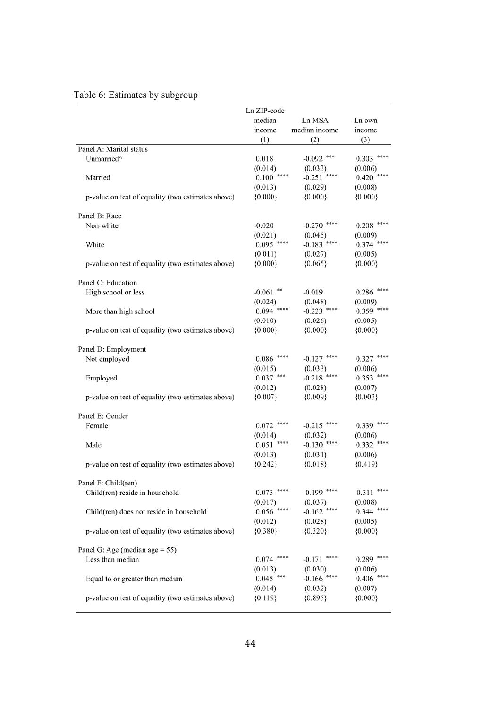|                                                   | Ln ZIP-code              |                             |                  |
|---------------------------------------------------|--------------------------|-----------------------------|------------------|
|                                                   | median                   | Ln MSA                      | Ln own           |
|                                                   | income                   | median income               | income           |
|                                                   | (1)                      | (2)                         | (3)              |
| Panel A: Marital status                           |                          |                             |                  |
| Unmarried^                                        | 0.018                    | $-0.092$ ***                | 0.303            |
|                                                   | (0.014)                  | (0.033)                     | (0.006)          |
| Married                                           | 0.100                    | $-0.251$                    | 0.420            |
|                                                   | (0.013)                  | (0.029)                     | (0.008)          |
| p-value on test of equality (two estimates above) | ${0.000}$                | ${0.000}$                   | ${0.000}$        |
| Panel B: Race                                     |                          |                             |                  |
| Non-white                                         | $-0.020$                 | $-0.270$ ****               | 0.208            |
|                                                   | (0.021)                  | (0.045)                     | (0.009)          |
| White                                             | $0.095$ ****             | ****<br>$-0.183$            | 0.374            |
|                                                   | (0.011)                  | (0.027)                     | (0.005)          |
| p-value on test of equality (two estimates above) | ${0.000}$                | ${0.065}$                   | ${0.000}$        |
|                                                   |                          |                             |                  |
| Panel C: Education                                |                          |                             |                  |
| High school or less                               | $-0.061$ **              | $-0.019$                    | $0.286$ ****     |
|                                                   | (0.024)                  | (0.048)                     | (0.009)          |
| More than high school                             | $0.094$ ****             | $-0.223$ ****               | $0.359$ ****     |
|                                                   | (0.010)                  | (0.026)                     | (0.005)          |
| p-value on test of equality (two estimates above) | ${0.000}$                | ${0.000}$                   | ${0.000}$        |
|                                                   |                          |                             |                  |
| Panel D: Employment                               |                          |                             |                  |
| Not employed                                      | ****<br>0.086            | $-0.127$ ****               | ****<br>0.327    |
|                                                   | (0.015)                  | (0.033)                     | (0.006)          |
| Employed                                          | $0.037$ ***              | $-0.218$ ****               | $0.353$ ****     |
|                                                   | (0.012)                  | (0.028)                     | (0.007)          |
| p-value on test of equality (two estimates above) | ${0.007}$                | ${0.009}$                   | ${0.003}$        |
|                                                   |                          |                             |                  |
| Panel E: Gender                                   |                          |                             |                  |
| Female                                            | 0.072                    | $-0.215$                    | 0.339            |
| Male                                              | (0.014)<br>****<br>0.051 | (0.032)<br>****<br>$-0.130$ | (0.006)<br>0.332 |
|                                                   |                          | (0.031)                     | (0.006)          |
| p-value on test of equality (two estimates above) | (0.013)<br>${0.242}$     | ${0.018}$                   | ${0.419}$        |
|                                                   |                          |                             |                  |
| Panel F: Child(ren)                               |                          |                             |                  |
| Child(ren) reside in household                    | $0.073$ ****             | $-0.199$ ****               | ****<br>0.311    |
|                                                   | (0.017)                  | (0.037)                     | (0.008)          |
| Child(ren) does not reside in household           | $0.056$ ****             | $-0.162$ ****               | $0.344$ ****     |
|                                                   | (0.012)                  | (0.028)                     | (0.005)          |
| p-value on test of equality (two estimates above) | ${0.380}$                | ${0.320}$                   | ${0.000}$        |
|                                                   |                          |                             |                  |
| Panel G: Age (median age $= 55$ )                 |                          |                             |                  |
| Less than median                                  | $0.074$ ****             | $-0.171$ ****               | $0.289$ ****     |
|                                                   | (0.013)                  | (0.030)                     | (0.006)          |
| Equal to or greater than median                   | $0.045$ ***              | $-0.166$ ****               | ****<br>0.406    |
|                                                   | (0.014)                  | (0.032)                     | (0.007)          |
| p-value on test of equality (two estimates above) | ${0.119}$                | ${0.895}$                   | ${0.000}$        |
|                                                   |                          |                             |                  |

## Table 6: Estimates by subgroup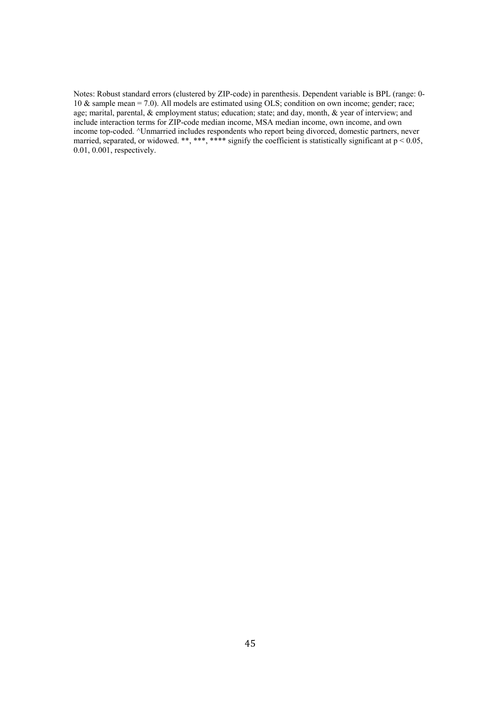Notes: Robust standard errors (clustered by ZIP-code) in parenthesis. Dependent variable is BPL (range: 0- 10 & sample mean = 7.0). All models are estimated using OLS; condition on own income; gender; race; age; marital, parental, & employment status; education; state; and day, month, & year of interview; and include interaction terms for ZIP-code median income, MSA median income, own income, and own income top-coded. ^Unmarried includes respondents who report being divorced, domestic partners, never married, separated, or widowed. \*\*, \*\*\*, \*\*\*\* signify the coefficient is statistically significant at  $p < 0.05$ , 0.01, 0.001, respectively.